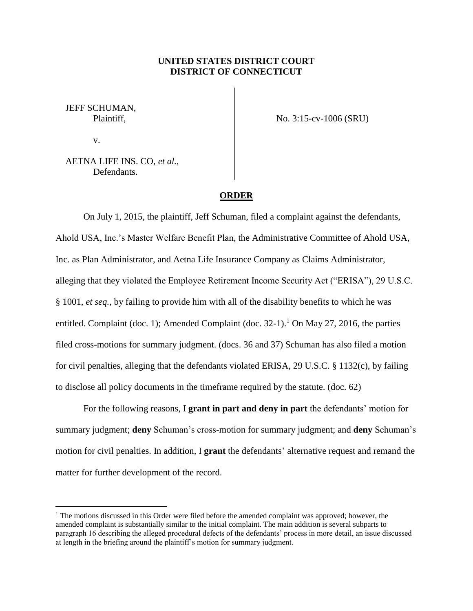## **UNITED STATES DISTRICT COURT DISTRICT OF CONNECTICUT**

JEFF SCHUMAN, Plaintiff,

v.

 $\overline{a}$ 

No. 3:15-cv-1006 (SRU)

AETNA LIFE INS. CO, *et al.,* Defendants.

## **ORDER**

On July 1, 2015, the plaintiff, Jeff Schuman, filed a complaint against the defendants, Ahold USA, Inc.'s Master Welfare Benefit Plan, the Administrative Committee of Ahold USA, Inc. as Plan Administrator, and Aetna Life Insurance Company as Claims Administrator, alleging that they violated the Employee Retirement Income Security Act ("ERISA"), 29 U.S.C. § 1001, *et seq.*, by failing to provide him with all of the disability benefits to which he was entitled. Complaint (doc. 1); Amended Complaint (doc.  $32-1$ ).<sup>1</sup> On May 27, 2016, the parties filed cross-motions for summary judgment. (docs. 36 and 37) Schuman has also filed a motion for civil penalties, alleging that the defendants violated ERISA, 29 U.S.C. § 1132(c), by failing to disclose all policy documents in the timeframe required by the statute. (doc. 62)

For the following reasons, I **grant in part and deny in part** the defendants' motion for summary judgment; **deny** Schuman's cross-motion for summary judgment; and **deny** Schuman's motion for civil penalties. In addition, I **grant** the defendants' alternative request and remand the matter for further development of the record.

 $1$  The motions discussed in this Order were filed before the amended complaint was approved; however, the amended complaint is substantially similar to the initial complaint. The main addition is several subparts to paragraph 16 describing the alleged procedural defects of the defendants' process in more detail, an issue discussed at length in the briefing around the plaintiff's motion for summary judgment.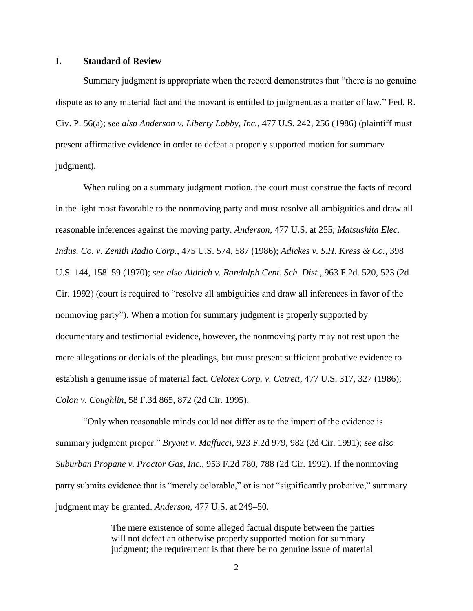#### **I. Standard of Review**

Summary judgment is appropriate when the record demonstrates that "there is no genuine dispute as to any material fact and the movant is entitled to judgment as a matter of law." Fed. R. Civ. P. 56(a); *see also Anderson v. Liberty Lobby, Inc.*, 477 U.S. 242, 256 (1986) (plaintiff must present affirmative evidence in order to defeat a properly supported motion for summary judgment).

When ruling on a summary judgment motion, the court must construe the facts of record in the light most favorable to the nonmoving party and must resolve all ambiguities and draw all reasonable inferences against the moving party. *Anderson*, 477 U.S. at 255; *Matsushita Elec. Indus. Co. v. Zenith Radio Corp.*, 475 U.S. 574, 587 (1986); *Adickes v. S.H. Kress & Co.*, 398 U.S. 144, 158–59 (1970); *see also Aldrich v. Randolph Cent. Sch. Dist.*, 963 F.2d. 520, 523 (2d Cir. 1992) (court is required to "resolve all ambiguities and draw all inferences in favor of the nonmoving party"). When a motion for summary judgment is properly supported by documentary and testimonial evidence, however, the nonmoving party may not rest upon the mere allegations or denials of the pleadings, but must present sufficient probative evidence to establish a genuine issue of material fact. *Celotex Corp. v. Catrett*, 477 U.S. 317, 327 (1986); *Colon v. Coughlin*, 58 F.3d 865, 872 (2d Cir. 1995).

"Only when reasonable minds could not differ as to the import of the evidence is summary judgment proper." *Bryant v. Maffucci*, 923 F.2d 979, 982 (2d Cir. 1991); *see also Suburban Propane v. Proctor Gas, Inc.*, 953 F.2d 780, 788 (2d Cir. 1992). If the nonmoving party submits evidence that is "merely colorable," or is not "significantly probative," summary judgment may be granted. *Anderson*, 477 U.S. at 249–50.

> The mere existence of some alleged factual dispute between the parties will not defeat an otherwise properly supported motion for summary judgment; the requirement is that there be no genuine issue of material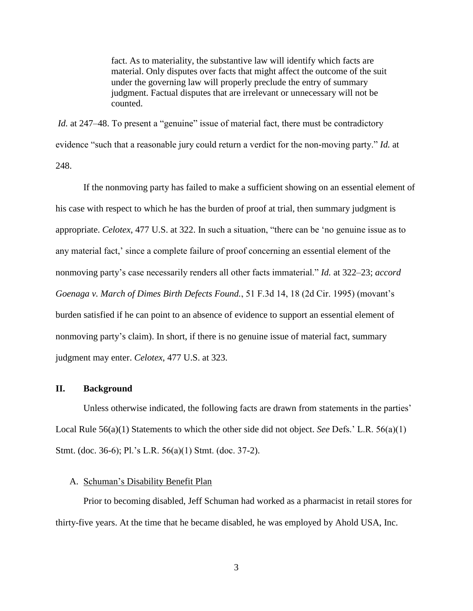fact. As to materiality, the substantive law will identify which facts are material. Only disputes over facts that might affect the outcome of the suit under the governing law will properly preclude the entry of summary judgment. Factual disputes that are irrelevant or unnecessary will not be counted.

*Id.* at 247–48. To present a "genuine" issue of material fact, there must be contradictory evidence "such that a reasonable jury could return a verdict for the non-moving party." *Id.* at 248.

If the nonmoving party has failed to make a sufficient showing on an essential element of his case with respect to which he has the burden of proof at trial, then summary judgment is appropriate. *Celotex*, 477 U.S. at 322. In such a situation, "there can be 'no genuine issue as to any material fact,' since a complete failure of proof concerning an essential element of the nonmoving party's case necessarily renders all other facts immaterial." *Id.* at 322–23; *accord Goenaga v. March of Dimes Birth Defects Found.*, 51 F.3d 14, 18 (2d Cir. 1995) (movant's burden satisfied if he can point to an absence of evidence to support an essential element of nonmoving party's claim). In short, if there is no genuine issue of material fact, summary judgment may enter. *Celotex*, 477 U.S. at 323.

### **II. Background**

Unless otherwise indicated, the following facts are drawn from statements in the parties' Local Rule 56(a)(1) Statements to which the other side did not object. *See* Defs.' L.R. 56(a)(1) Stmt. (doc. 36-6); Pl.'s L.R. 56(a)(1) Stmt. (doc. 37-2).

#### A. Schuman's Disability Benefit Plan

Prior to becoming disabled, Jeff Schuman had worked as a pharmacist in retail stores for thirty-five years. At the time that he became disabled, he was employed by Ahold USA, Inc.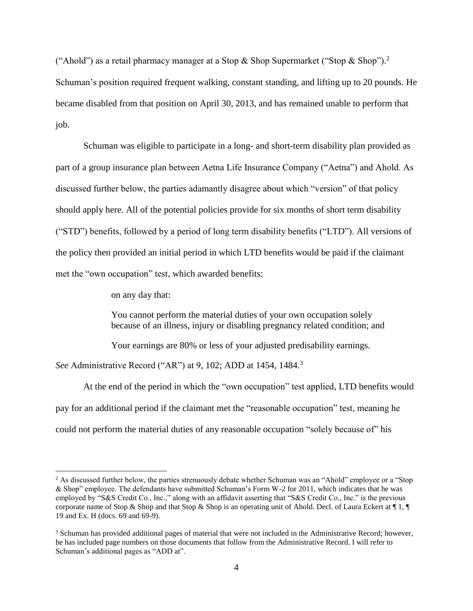("Ahold") as a retail pharmacy manager at a Stop & Shop Supermarket ("Stop & Shop").<sup>2</sup> Schuman's position required frequent walking, constant standing, and lifting up to 20 pounds. He became disabled from that position on April 30, 2013, and has remained unable to perform that job.

Schuman was eligible to participate in a long- and short-term disability plan provided as part of a group insurance plan between Aetna Life Insurance Company ("Aetna") and Ahold. As discussed further below, the parties adamantly disagree about which "version" of that policy should apply here. All of the potential policies provide for six months of short term disability ("STD") benefits, followed by a period of long term disability benefits ("LTD"). All versions of the policy then provided an initial period in which LTD benefits would be paid if the claimant met the "own occupation" test, which awarded benefits:

on any day that:

 $\overline{a}$ 

You cannot perform the material duties of your own occupation solely because of an illness, injury or disabling pregnancy related condition; and

Your earnings are 80% or less of your adjusted predisability earnings.

*See* Administrative Record ("AR") at 9, 102; ADD at 1454, 1484.<sup>3</sup>

At the end of the period in which the "own occupation" test applied, LTD benefits would pay for an additional period if the claimant met the "reasonable occupation" test, meaning he could not perform the material duties of any reasonable occupation "solely because of" his

<sup>&</sup>lt;sup>2</sup> As discussed further below, the parties strenuously debate whether Schuman was an "Ahold" employee or a "Stop & Shop" employee. The defendants have submitted Schuman's Form W-2 for 2011, which indicates that he was employed by "S&S Credit Co., Inc.," along with an affidavit asserting that "S&S Credit Co., Inc." is the previous corporate name of Stop & Shop and that Stop & Shop is an operating unit of Ahold. Decl. of Laura Eckert at  $\P$  1,  $\P$ 19 and Ex. H (docs. 69 and 69-9).

<sup>3</sup> Schuman has provided additional pages of material that were not included in the Administrative Record; however, he has included page numbers on those documents that follow from the Administrative Record. I will refer to Schuman's additional pages as "ADD at".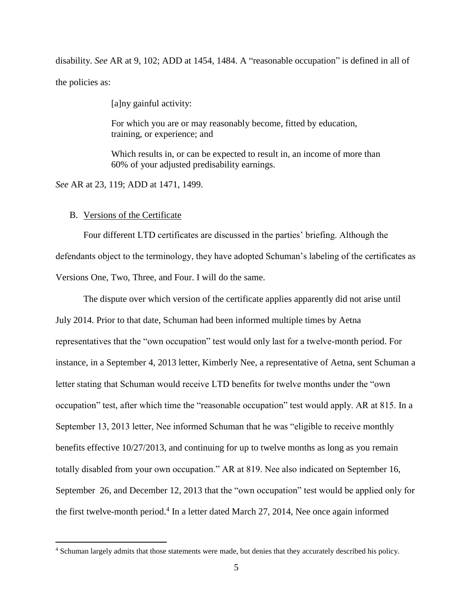disability. *See* AR at 9, 102; ADD at 1454, 1484. A "reasonable occupation" is defined in all of the policies as:

[a]ny gainful activity:

For which you are or may reasonably become, fitted by education, training, or experience; and

Which results in, or can be expected to result in, an income of more than 60% of your adjusted predisability earnings.

*See* AR at 23, 119; ADD at 1471, 1499.

#### B. Versions of the Certificate

 $\overline{a}$ 

Four different LTD certificates are discussed in the parties' briefing. Although the defendants object to the terminology, they have adopted Schuman's labeling of the certificates as Versions One, Two, Three, and Four. I will do the same.

The dispute over which version of the certificate applies apparently did not arise until July 2014. Prior to that date, Schuman had been informed multiple times by Aetna representatives that the "own occupation" test would only last for a twelve-month period. For instance, in a September 4, 2013 letter, Kimberly Nee, a representative of Aetna, sent Schuman a letter stating that Schuman would receive LTD benefits for twelve months under the "own occupation" test, after which time the "reasonable occupation" test would apply. AR at 815. In a September 13, 2013 letter, Nee informed Schuman that he was "eligible to receive monthly benefits effective 10/27/2013, and continuing for up to twelve months as long as you remain totally disabled from your own occupation." AR at 819. Nee also indicated on September 16, September 26, and December 12, 2013 that the "own occupation" test would be applied only for the first twelve-month period.<sup>4</sup> In a letter dated March 27, 2014, Nee once again informed

<sup>4</sup> Schuman largely admits that those statements were made, but denies that they accurately described his policy.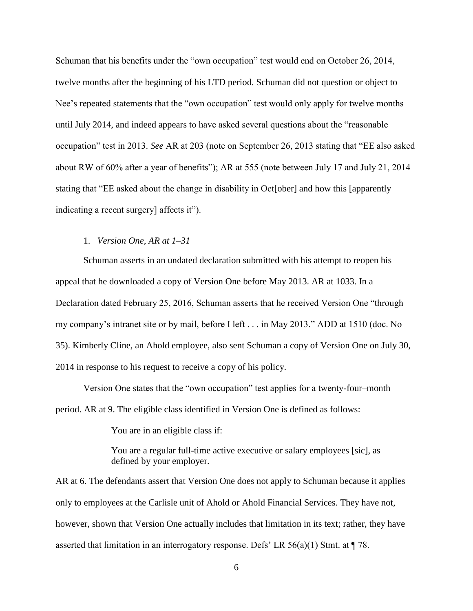Schuman that his benefits under the "own occupation" test would end on October 26, 2014, twelve months after the beginning of his LTD period. Schuman did not question or object to Nee's repeated statements that the "own occupation" test would only apply for twelve months until July 2014, and indeed appears to have asked several questions about the "reasonable occupation" test in 2013. *See* AR at 203 (note on September 26, 2013 stating that "EE also asked about RW of 60% after a year of benefits"); AR at 555 (note between July 17 and July 21, 2014 stating that "EE asked about the change in disability in Oct[ober] and how this [apparently indicating a recent surgery] affects it").

### 1. *Version One, AR at 1–31*

Schuman asserts in an undated declaration submitted with his attempt to reopen his appeal that he downloaded a copy of Version One before May 2013. AR at 1033. In a Declaration dated February 25, 2016, Schuman asserts that he received Version One "through my company's intranet site or by mail, before I left . . . in May 2013." ADD at 1510 (doc. No 35). Kimberly Cline, an Ahold employee, also sent Schuman a copy of Version One on July 30, 2014 in response to his request to receive a copy of his policy.

Version One states that the "own occupation" test applies for a twenty-four–month period. AR at 9. The eligible class identified in Version One is defined as follows:

You are in an eligible class if:

You are a regular full-time active executive or salary employees [sic], as defined by your employer.

AR at 6. The defendants assert that Version One does not apply to Schuman because it applies only to employees at the Carlisle unit of Ahold or Ahold Financial Services. They have not, however, shown that Version One actually includes that limitation in its text; rather, they have asserted that limitation in an interrogatory response. Defs' LR 56(a)(1) Stmt. at ¶ 78.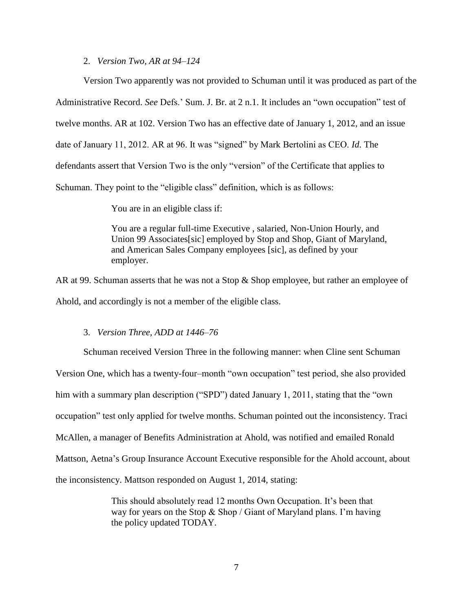#### 2. *Version Two, AR at 94–124*

Version Two apparently was not provided to Schuman until it was produced as part of the Administrative Record. *See* Defs.' Sum. J. Br. at 2 n.1. It includes an "own occupation" test of twelve months. AR at 102. Version Two has an effective date of January 1, 2012, and an issue date of January 11, 2012. AR at 96. It was "signed" by Mark Bertolini as CEO. *Id.* The defendants assert that Version Two is the only "version" of the Certificate that applies to Schuman. They point to the "eligible class" definition, which is as follows:

You are in an eligible class if:

You are a regular full-time Executive , salaried, Non-Union Hourly, and Union 99 Associates[sic] employed by Stop and Shop, Giant of Maryland, and American Sales Company employees [sic], as defined by your employer.

AR at 99. Schuman asserts that he was not a Stop & Shop employee, but rather an employee of Ahold, and accordingly is not a member of the eligible class.

### 3. *Version Three, ADD at 1446–76*

Schuman received Version Three in the following manner: when Cline sent Schuman

Version One, which has a twenty-four–month "own occupation" test period, she also provided him with a summary plan description ("SPD") dated January 1, 2011, stating that the "own occupation" test only applied for twelve months. Schuman pointed out the inconsistency. Traci McAllen, a manager of Benefits Administration at Ahold, was notified and emailed Ronald Mattson, Aetna's Group Insurance Account Executive responsible for the Ahold account, about the inconsistency. Mattson responded on August 1, 2014, stating:

> This should absolutely read 12 months Own Occupation. It's been that way for years on the Stop & Shop / Giant of Maryland plans. I'm having the policy updated TODAY.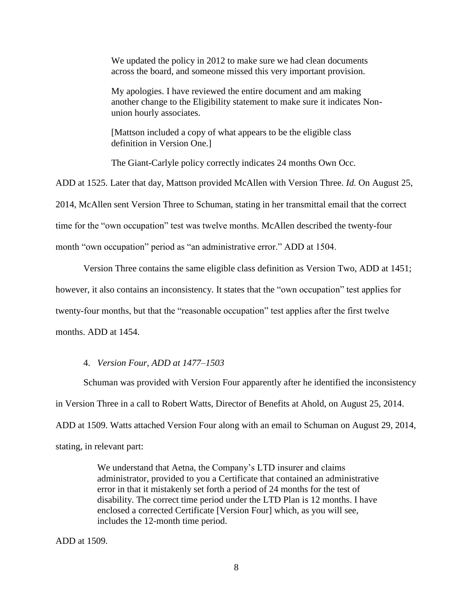We updated the policy in 2012 to make sure we had clean documents across the board, and someone missed this very important provision.

My apologies. I have reviewed the entire document and am making another change to the Eligibility statement to make sure it indicates Nonunion hourly associates.

[Mattson included a copy of what appears to be the eligible class definition in Version One.]

The Giant-Carlyle policy correctly indicates 24 months Own Occ.

ADD at 1525. Later that day, Mattson provided McAllen with Version Three. *Id.* On August 25, 2014, McAllen sent Version Three to Schuman, stating in her transmittal email that the correct time for the "own occupation" test was twelve months. McAllen described the twenty-four month "own occupation" period as "an administrative error." ADD at 1504.

Version Three contains the same eligible class definition as Version Two, ADD at 1451;

however, it also contains an inconsistency. It states that the "own occupation" test applies for

twenty-four months, but that the "reasonable occupation" test applies after the first twelve

months. ADD at 1454.

#### 4. *Version Four, ADD at 1477–1503*

Schuman was provided with Version Four apparently after he identified the inconsistency in Version Three in a call to Robert Watts, Director of Benefits at Ahold, on August 25, 2014. ADD at 1509. Watts attached Version Four along with an email to Schuman on August 29, 2014, stating, in relevant part:

> We understand that Aetna, the Company's LTD insurer and claims administrator, provided to you a Certificate that contained an administrative error in that it mistakenly set forth a period of 24 months for the test of disability. The correct time period under the LTD Plan is 12 months. I have enclosed a corrected Certificate [Version Four] which, as you will see, includes the 12-month time period.

ADD at 1509.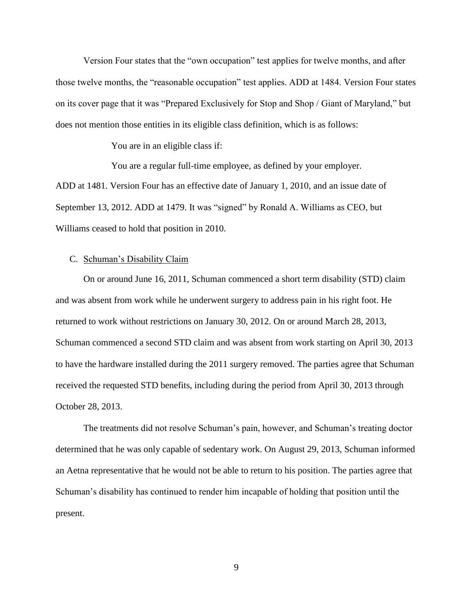Version Four states that the "own occupation" test applies for twelve months, and after those twelve months, the "reasonable occupation" test applies. ADD at 1484. Version Four states on its cover page that it was "Prepared Exclusively for Stop and Shop / Giant of Maryland," but does not mention those entities in its eligible class definition, which is as follows:

You are in an eligible class if:

You are a regular full-time employee, as defined by your employer. ADD at 1481. Version Four has an effective date of January 1, 2010, and an issue date of September 13, 2012. ADD at 1479. It was "signed" by Ronald A. Williams as CEO, but Williams ceased to hold that position in 2010.

#### C. Schuman's Disability Claim

On or around June 16, 2011, Schuman commenced a short term disability (STD) claim and was absent from work while he underwent surgery to address pain in his right foot. He returned to work without restrictions on January 30, 2012. On or around March 28, 2013, Schuman commenced a second STD claim and was absent from work starting on April 30, 2013 to have the hardware installed during the 2011 surgery removed. The parties agree that Schuman received the requested STD benefits, including during the period from April 30, 2013 through October 28, 2013.

The treatments did not resolve Schuman's pain, however, and Schuman's treating doctor determined that he was only capable of sedentary work. On August 29, 2013, Schuman informed an Aetna representative that he would not be able to return to his position. The parties agree that Schuman's disability has continued to render him incapable of holding that position until the present.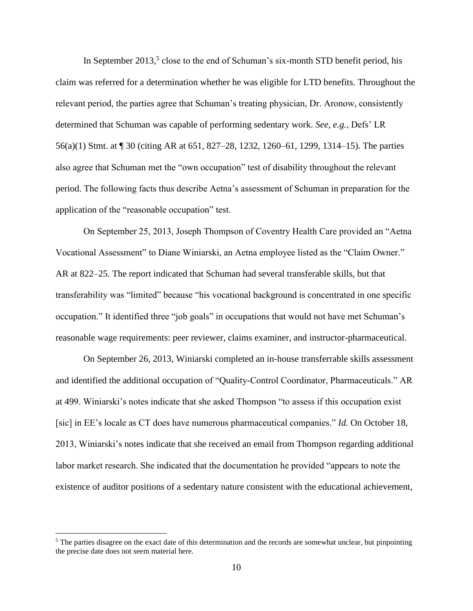In September  $2013<sup>5</sup>$  close to the end of Schuman's six-month STD benefit period, his claim was referred for a determination whether he was eligible for LTD benefits. Throughout the relevant period, the parties agree that Schuman's treating physician, Dr. Aronow, consistently determined that Schuman was capable of performing sedentary work. *See, e.g.*, Defs' LR 56(a)(1) Stmt. at ¶ 30 (citing AR at 651, 827–28, 1232, 1260–61, 1299, 1314–15). The parties also agree that Schuman met the "own occupation" test of disability throughout the relevant period. The following facts thus describe Aetna's assessment of Schuman in preparation for the application of the "reasonable occupation" test.

On September 25, 2013, Joseph Thompson of Coventry Health Care provided an "Aetna Vocational Assessment" to Diane Winiarski, an Aetna employee listed as the "Claim Owner." AR at 822–25. The report indicated that Schuman had several transferable skills, but that transferability was "limited" because "his vocational background is concentrated in one specific occupation." It identified three "job goals" in occupations that would not have met Schuman's reasonable wage requirements: peer reviewer, claims examiner, and instructor-pharmaceutical.

On September 26, 2013, Winiarski completed an in-house transferrable skills assessment and identified the additional occupation of "Quality-Control Coordinator, Pharmaceuticals." AR at 499. Winiarski's notes indicate that she asked Thompson "to assess if this occupation exist [sic] in EE's locale as CT does have numerous pharmaceutical companies." *Id.* On October 18, 2013, Winiarski's notes indicate that she received an email from Thompson regarding additional labor market research. She indicated that the documentation he provided "appears to note the existence of auditor positions of a sedentary nature consistent with the educational achievement,

 $\overline{a}$ 

 $<sup>5</sup>$  The parties disagree on the exact date of this determination and the records are somewhat unclear, but pinpointing</sup> the precise date does not seem material here.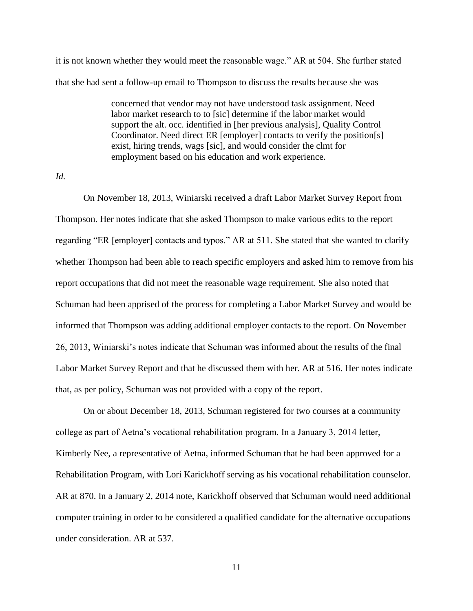it is not known whether they would meet the reasonable wage." AR at 504. She further stated that she had sent a follow-up email to Thompson to discuss the results because she was

> concerned that vendor may not have understood task assignment. Need labor market research to to [sic] determine if the labor market would support the alt. occ. identified in [her previous analysis], Quality Control Coordinator. Need direct ER [employer] contacts to verify the position[s] exist, hiring trends, wags [sic], and would consider the clmt for employment based on his education and work experience.

*Id.*

On November 18, 2013, Winiarski received a draft Labor Market Survey Report from Thompson. Her notes indicate that she asked Thompson to make various edits to the report regarding "ER [employer] contacts and typos." AR at 511. She stated that she wanted to clarify whether Thompson had been able to reach specific employers and asked him to remove from his report occupations that did not meet the reasonable wage requirement. She also noted that Schuman had been apprised of the process for completing a Labor Market Survey and would be informed that Thompson was adding additional employer contacts to the report. On November 26, 2013, Winiarski's notes indicate that Schuman was informed about the results of the final Labor Market Survey Report and that he discussed them with her. AR at 516. Her notes indicate that, as per policy, Schuman was not provided with a copy of the report.

On or about December 18, 2013, Schuman registered for two courses at a community college as part of Aetna's vocational rehabilitation program. In a January 3, 2014 letter, Kimberly Nee, a representative of Aetna, informed Schuman that he had been approved for a Rehabilitation Program, with Lori Karickhoff serving as his vocational rehabilitation counselor. AR at 870. In a January 2, 2014 note, Karickhoff observed that Schuman would need additional computer training in order to be considered a qualified candidate for the alternative occupations under consideration. AR at 537.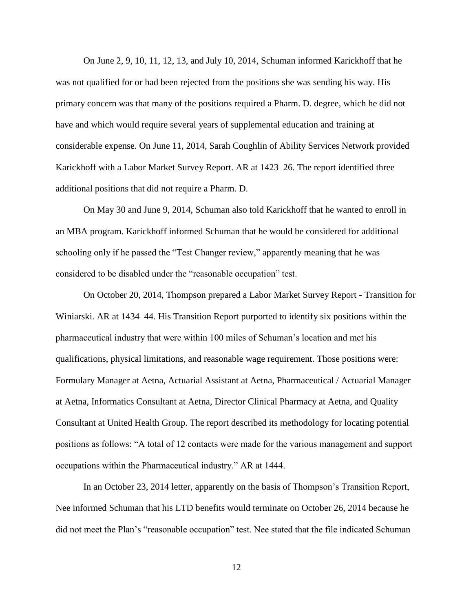On June 2, 9, 10, 11, 12, 13, and July 10, 2014, Schuman informed Karickhoff that he was not qualified for or had been rejected from the positions she was sending his way. His primary concern was that many of the positions required a Pharm. D. degree, which he did not have and which would require several years of supplemental education and training at considerable expense. On June 11, 2014, Sarah Coughlin of Ability Services Network provided Karickhoff with a Labor Market Survey Report. AR at 1423–26. The report identified three additional positions that did not require a Pharm. D.

On May 30 and June 9, 2014, Schuman also told Karickhoff that he wanted to enroll in an MBA program. Karickhoff informed Schuman that he would be considered for additional schooling only if he passed the "Test Changer review," apparently meaning that he was considered to be disabled under the "reasonable occupation" test.

On October 20, 2014, Thompson prepared a Labor Market Survey Report - Transition for Winiarski. AR at 1434–44. His Transition Report purported to identify six positions within the pharmaceutical industry that were within 100 miles of Schuman's location and met his qualifications, physical limitations, and reasonable wage requirement. Those positions were: Formulary Manager at Aetna, Actuarial Assistant at Aetna, Pharmaceutical / Actuarial Manager at Aetna, Informatics Consultant at Aetna, Director Clinical Pharmacy at Aetna, and Quality Consultant at United Health Group. The report described its methodology for locating potential positions as follows: "A total of 12 contacts were made for the various management and support occupations within the Pharmaceutical industry." AR at 1444.

In an October 23, 2014 letter, apparently on the basis of Thompson's Transition Report, Nee informed Schuman that his LTD benefits would terminate on October 26, 2014 because he did not meet the Plan's "reasonable occupation" test. Nee stated that the file indicated Schuman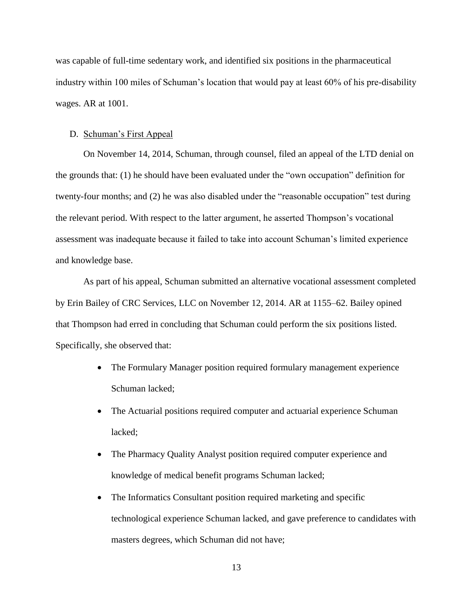was capable of full-time sedentary work, and identified six positions in the pharmaceutical industry within 100 miles of Schuman's location that would pay at least 60% of his pre-disability wages. AR at 1001.

#### D. Schuman's First Appeal

On November 14, 2014, Schuman, through counsel, filed an appeal of the LTD denial on the grounds that: (1) he should have been evaluated under the "own occupation" definition for twenty-four months; and (2) he was also disabled under the "reasonable occupation" test during the relevant period. With respect to the latter argument, he asserted Thompson's vocational assessment was inadequate because it failed to take into account Schuman's limited experience and knowledge base.

As part of his appeal, Schuman submitted an alternative vocational assessment completed by Erin Bailey of CRC Services, LLC on November 12, 2014. AR at 1155–62. Bailey opined that Thompson had erred in concluding that Schuman could perform the six positions listed. Specifically, she observed that:

- The Formulary Manager position required formulary management experience Schuman lacked;
- The Actuarial positions required computer and actuarial experience Schuman lacked;
- The Pharmacy Quality Analyst position required computer experience and knowledge of medical benefit programs Schuman lacked;
- The Informatics Consultant position required marketing and specific technological experience Schuman lacked, and gave preference to candidates with masters degrees, which Schuman did not have;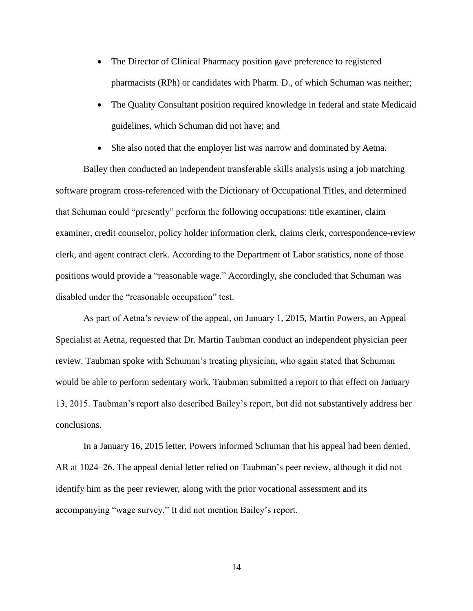- The Director of Clinical Pharmacy position gave preference to registered pharmacists (RPh) or candidates with Pharm. D., of which Schuman was neither;
- The Quality Consultant position required knowledge in federal and state Medicaid guidelines, which Schuman did not have; and
- She also noted that the employer list was narrow and dominated by Aetna.

Bailey then conducted an independent transferable skills analysis using a job matching software program cross-referenced with the Dictionary of Occupational Titles, and determined that Schuman could "presently" perform the following occupations: title examiner, claim examiner, credit counselor, policy holder information clerk, claims clerk, correspondence-review clerk, and agent contract clerk. According to the Department of Labor statistics, none of those positions would provide a "reasonable wage." Accordingly, she concluded that Schuman was disabled under the "reasonable occupation" test.

As part of Aetna's review of the appeal, on January 1, 2015, Martin Powers, an Appeal Specialist at Aetna, requested that Dr. Martin Taubman conduct an independent physician peer review. Taubman spoke with Schuman's treating physician, who again stated that Schuman would be able to perform sedentary work. Taubman submitted a report to that effect on January 13, 2015. Taubman's report also described Bailey's report, but did not substantively address her conclusions.

In a January 16, 2015 letter, Powers informed Schuman that his appeal had been denied. AR at 1024–26. The appeal denial letter relied on Taubman's peer review, although it did not identify him as the peer reviewer, along with the prior vocational assessment and its accompanying "wage survey." It did not mention Bailey's report.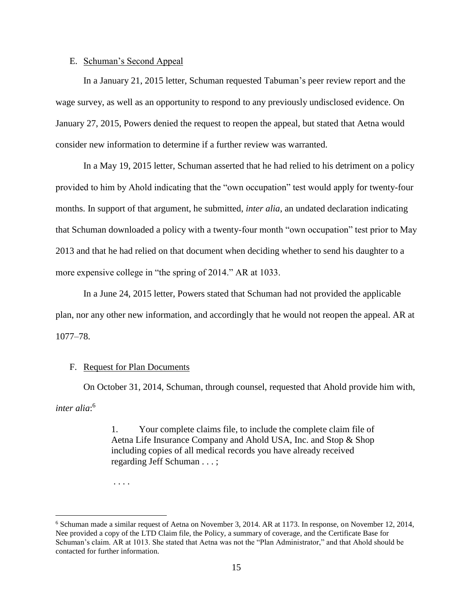#### E. Schuman's Second Appeal

In a January 21, 2015 letter, Schuman requested Tabuman's peer review report and the wage survey, as well as an opportunity to respond to any previously undisclosed evidence. On January 27, 2015, Powers denied the request to reopen the appeal, but stated that Aetna would consider new information to determine if a further review was warranted.

In a May 19, 2015 letter, Schuman asserted that he had relied to his detriment on a policy provided to him by Ahold indicating that the "own occupation" test would apply for twenty-four months. In support of that argument, he submitted, *inter alia*, an undated declaration indicating that Schuman downloaded a policy with a twenty-four month "own occupation" test prior to May 2013 and that he had relied on that document when deciding whether to send his daughter to a more expensive college in "the spring of 2014." AR at 1033.

In a June 24, 2015 letter, Powers stated that Schuman had not provided the applicable plan, nor any other new information, and accordingly that he would not reopen the appeal. AR at 1077–78.

### F. Request for Plan Documents

On October 31, 2014, Schuman, through counsel, requested that Ahold provide him with, *inter alia*: 6

> 1. Your complete claims file, to include the complete claim file of Aetna Life Insurance Company and Ahold USA, Inc. and Stop & Shop including copies of all medical records you have already received regarding Jeff Schuman . . . ;

. . . .

 $\overline{a}$ 

<sup>6</sup> Schuman made a similar request of Aetna on November 3, 2014. AR at 1173. In response, on November 12, 2014, Nee provided a copy of the LTD Claim file, the Policy, a summary of coverage, and the Certificate Base for Schuman's claim. AR at 1013. She stated that Aetna was not the "Plan Administrator," and that Ahold should be contacted for further information.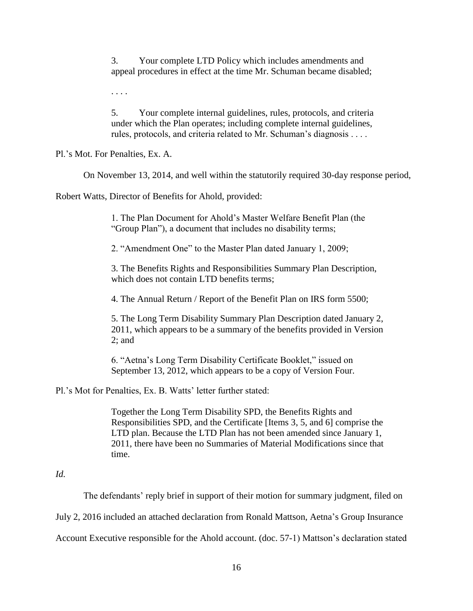3. Your complete LTD Policy which includes amendments and appeal procedures in effect at the time Mr. Schuman became disabled;

. . . .

5. Your complete internal guidelines, rules, protocols, and criteria under which the Plan operates; including complete internal guidelines, rules, protocols, and criteria related to Mr. Schuman's diagnosis . . . .

Pl.'s Mot. For Penalties, Ex. A.

On November 13, 2014, and well within the statutorily required 30-day response period,

Robert Watts, Director of Benefits for Ahold, provided:

1. The Plan Document for Ahold's Master Welfare Benefit Plan (the "Group Plan"), a document that includes no disability terms;

2. "Amendment One" to the Master Plan dated January 1, 2009;

3. The Benefits Rights and Responsibilities Summary Plan Description, which does not contain LTD benefits terms;

4. The Annual Return / Report of the Benefit Plan on IRS form 5500;

5. The Long Term Disability Summary Plan Description dated January 2, 2011, which appears to be a summary of the benefits provided in Version 2; and

6. "Aetna's Long Term Disability Certificate Booklet," issued on September 13, 2012, which appears to be a copy of Version Four.

Pl.'s Mot for Penalties, Ex. B. Watts' letter further stated:

Together the Long Term Disability SPD, the Benefits Rights and Responsibilities SPD, and the Certificate [Items 3, 5, and 6] comprise the LTD plan. Because the LTD Plan has not been amended since January 1, 2011, there have been no Summaries of Material Modifications since that time.

## *Id.*

The defendants' reply brief in support of their motion for summary judgment, filed on

July 2, 2016 included an attached declaration from Ronald Mattson, Aetna's Group Insurance

Account Executive responsible for the Ahold account. (doc. 57-1) Mattson's declaration stated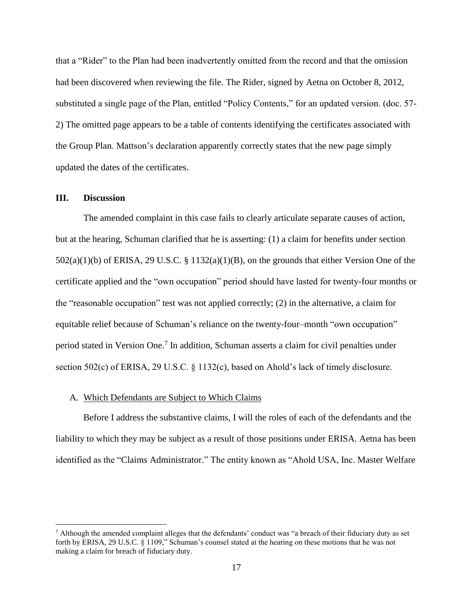that a "Rider" to the Plan had been inadvertently omitted from the record and that the omission had been discovered when reviewing the file. The Rider, signed by Aetna on October 8, 2012, substituted a single page of the Plan, entitled "Policy Contents," for an updated version. (doc. 57- 2) The omitted page appears to be a table of contents identifying the certificates associated with the Group Plan. Mattson's declaration apparently correctly states that the new page simply updated the dates of the certificates.

#### **III. Discussion**

 $\overline{a}$ 

The amended complaint in this case fails to clearly articulate separate causes of action, but at the hearing, Schuman clarified that he is asserting: (1) a claim for benefits under section 502(a)(1)(b) of ERISA, 29 U.S.C. § 1132(a)(1)(B), on the grounds that either Version One of the certificate applied and the "own occupation" period should have lasted for twenty-four months or the "reasonable occupation" test was not applied correctly; (2) in the alternative, a claim for equitable relief because of Schuman's reliance on the twenty-four–month "own occupation" period stated in Version One. 7 In addition, Schuman asserts a claim for civil penalties under section 502(c) of ERISA, 29 U.S.C. § 1132(c), based on Ahold's lack of timely disclosure.

#### A. Which Defendants are Subject to Which Claims

Before I address the substantive claims, I will the roles of each of the defendants and the liability to which they may be subject as a result of those positions under ERISA. Aetna has been identified as the "Claims Administrator." The entity known as "Ahold USA, Inc. Master Welfare

 $<sup>7</sup>$  Although the amended complaint alleges that the defendants' conduct was "a breach of their fiduciary duty as set</sup> forth by ERISA, 29 U.S.C. § 1109," Schuman's counsel stated at the hearing on these motions that he was not making a claim for breach of fiduciary duty.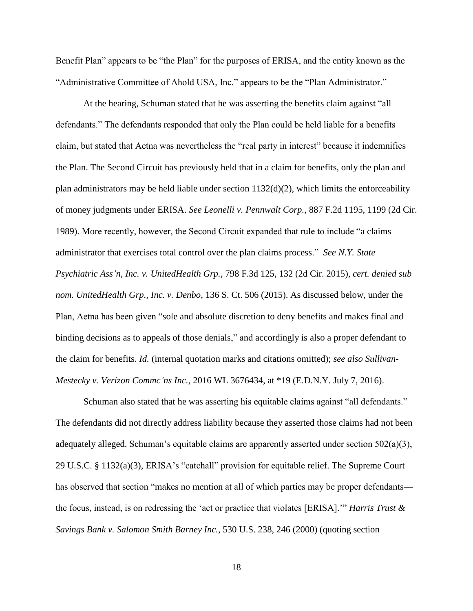Benefit Plan" appears to be "the Plan" for the purposes of ERISA, and the entity known as the "Administrative Committee of Ahold USA, Inc." appears to be the "Plan Administrator."

At the hearing, Schuman stated that he was asserting the benefits claim against "all defendants." The defendants responded that only the Plan could be held liable for a benefits claim, but stated that Aetna was nevertheless the "real party in interest" because it indemnifies the Plan. The Second Circuit has previously held that in a claim for benefits, only the plan and plan administrators may be held liable under section 1132(d)(2), which limits the enforceability of money judgments under ERISA. *See Leonelli v. Pennwalt Corp.*, 887 F.2d 1195, 1199 (2d Cir. 1989). More recently, however, the Second Circuit expanded that rule to include "a claims administrator that exercises total control over the plan claims process." *See N.Y. State Psychiatric Ass'n, Inc. v. UnitedHealth Grp.*, 798 F.3d 125, 132 (2d Cir. 2015), *cert. denied sub nom. UnitedHealth Grp., Inc. v. Denbo*, 136 S. Ct. 506 (2015). As discussed below, under the Plan, Aetna has been given "sole and absolute discretion to deny benefits and makes final and binding decisions as to appeals of those denials," and accordingly is also a proper defendant to the claim for benefits. *Id.* (internal quotation marks and citations omitted); *see also Sullivan-Mestecky v. Verizon Commc'ns Inc.*, 2016 WL 3676434, at \*19 (E.D.N.Y. July 7, 2016).

Schuman also stated that he was asserting his equitable claims against "all defendants." The defendants did not directly address liability because they asserted those claims had not been adequately alleged. Schuman's equitable claims are apparently asserted under section 502(a)(3), 29 U.S.C. § 1132(a)(3), ERISA's "catchall" provision for equitable relief. The Supreme Court has observed that section "makes no mention at all of which parties may be proper defendants the focus, instead, is on redressing the 'act or practice that violates [ERISA].'" *Harris Trust & Savings Bank v. Salomon Smith Barney Inc.*, 530 U.S. 238, 246 (2000) (quoting section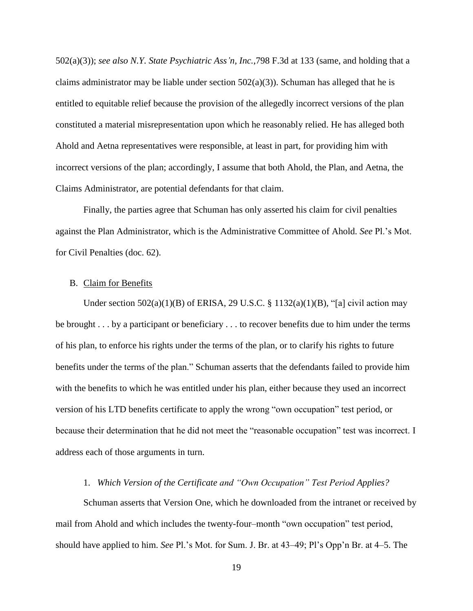502(a)(3)); *see also N.Y. State Psychiatric Ass'n, Inc.*,798 F.3d at 133 (same, and holding that a claims administrator may be liable under section  $502(a)(3)$ ). Schuman has alleged that he is entitled to equitable relief because the provision of the allegedly incorrect versions of the plan constituted a material misrepresentation upon which he reasonably relied. He has alleged both Ahold and Aetna representatives were responsible, at least in part, for providing him with incorrect versions of the plan; accordingly, I assume that both Ahold, the Plan, and Aetna, the Claims Administrator, are potential defendants for that claim.

Finally, the parties agree that Schuman has only asserted his claim for civil penalties against the Plan Administrator, which is the Administrative Committee of Ahold. *See* Pl.'s Mot. for Civil Penalties (doc. 62).

#### B. Claim for Benefits

Under section  $502(a)(1)(B)$  of ERISA, 29 U.S.C. § 1132(a)(1)(B), "[a] civil action may be brought . . . by a participant or beneficiary . . . to recover benefits due to him under the terms of his plan, to enforce his rights under the terms of the plan, or to clarify his rights to future benefits under the terms of the plan." Schuman asserts that the defendants failed to provide him with the benefits to which he was entitled under his plan, either because they used an incorrect version of his LTD benefits certificate to apply the wrong "own occupation" test period, or because their determination that he did not meet the "reasonable occupation" test was incorrect. I address each of those arguments in turn.

### 1. *Which Version of the Certificate and "Own Occupation" Test Period Applies?*

Schuman asserts that Version One, which he downloaded from the intranet or received by mail from Ahold and which includes the twenty-four–month "own occupation" test period, should have applied to him. *See* Pl.'s Mot. for Sum. J. Br. at 43–49; Pl's Opp'n Br. at 4–5. The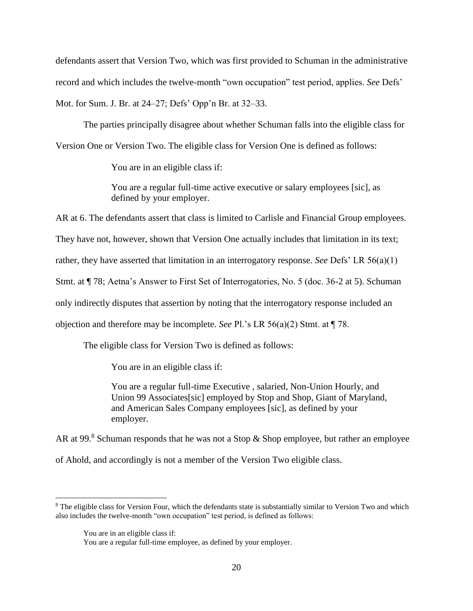defendants assert that Version Two, which was first provided to Schuman in the administrative record and which includes the twelve-month "own occupation" test period, applies. *See* Defs' Mot. for Sum. J. Br. at 24–27; Defs' Opp'n Br. at 32–33.

The parties principally disagree about whether Schuman falls into the eligible class for Version One or Version Two. The eligible class for Version One is defined as follows:

You are in an eligible class if:

You are a regular full-time active executive or salary employees [sic], as defined by your employer.

AR at 6. The defendants assert that class is limited to Carlisle and Financial Group employees.

They have not, however, shown that Version One actually includes that limitation in its text;

rather, they have asserted that limitation in an interrogatory response. *See* Defs' LR 56(a)(1)

Stmt. at ¶ 78; Aetna's Answer to First Set of Interrogatories, No. 5 (doc. 36-2 at 5). Schuman

only indirectly disputes that assertion by noting that the interrogatory response included an

objection and therefore may be incomplete. *See* Pl.'s LR 56(a)(2) Stmt. at ¶ 78.

The eligible class for Version Two is defined as follows:

You are in an eligible class if:

You are a regular full-time Executive , salaried, Non-Union Hourly, and Union 99 Associates[sic] employed by Stop and Shop, Giant of Maryland, and American Sales Company employees [sic], as defined by your employer.

AR at 99.8 Schuman responds that he was not a Stop  $\&$  Shop employee, but rather an employee

of Ahold, and accordingly is not a member of the Version Two eligible class.

 $\overline{a}$ 

<sup>&</sup>lt;sup>8</sup> The eligible class for Version Four, which the defendants state is substantially similar to Version Two and which also includes the twelve-month "own occupation" test period, is defined as follows:

You are in an eligible class if:

You are a regular full-time employee, as defined by your employer.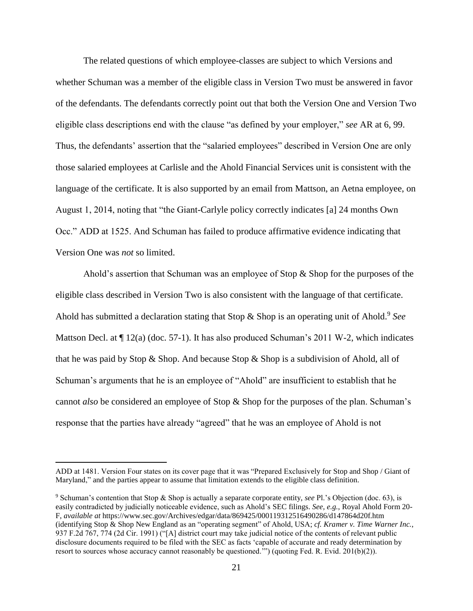The related questions of which employee-classes are subject to which Versions and whether Schuman was a member of the eligible class in Version Two must be answered in favor of the defendants. The defendants correctly point out that both the Version One and Version Two eligible class descriptions end with the clause "as defined by your employer," *see* AR at 6, 99. Thus, the defendants' assertion that the "salaried employees" described in Version One are only those salaried employees at Carlisle and the Ahold Financial Services unit is consistent with the language of the certificate. It is also supported by an email from Mattson, an Aetna employee, on August 1, 2014, noting that "the Giant-Carlyle policy correctly indicates [a] 24 months Own Occ." ADD at 1525. And Schuman has failed to produce affirmative evidence indicating that Version One was *not* so limited.

Ahold's assertion that Schuman was an employee of Stop & Shop for the purposes of the eligible class described in Version Two is also consistent with the language of that certificate. Ahold has submitted a declaration stating that Stop & Shop is an operating unit of Ahold.<sup>9</sup> See Mattson Decl. at  $\P$  12(a) (doc. 57-1). It has also produced Schuman's 2011 W-2, which indicates that he was paid by Stop & Shop. And because Stop & Shop is a subdivision of Ahold, all of Schuman's arguments that he is an employee of "Ahold" are insufficient to establish that he cannot *also* be considered an employee of Stop & Shop for the purposes of the plan. Schuman's response that the parties have already "agreed" that he was an employee of Ahold is not

 $\overline{a}$ 

ADD at 1481. Version Four states on its cover page that it was "Prepared Exclusively for Stop and Shop / Giant of Maryland," and the parties appear to assume that limitation extends to the eligible class definition.

<sup>9</sup> Schuman's contention that Stop & Shop is actually a separate corporate entity, *see* Pl.'s Objection (doc. 63), is easily contradicted by judicially noticeable evidence, such as Ahold's SEC filings. *See, e.g.*, Royal Ahold Form 20- F, *available at* https://www.sec.gov/Archives/edgar/data/869425/000119312516490286/d147864d20f.htm (identifying Stop & Shop New England as an "operating segment" of Ahold, USA; *cf. Kramer v. Time Warner Inc.*, 937 F.2d 767, 774 (2d Cir. 1991) ("[A] district court may take judicial notice of the contents of relevant public disclosure documents required to be filed with the SEC as facts 'capable of accurate and ready determination by resort to sources whose accuracy cannot reasonably be questioned.'") (quoting Fed. R. Evid. 201(b)(2)).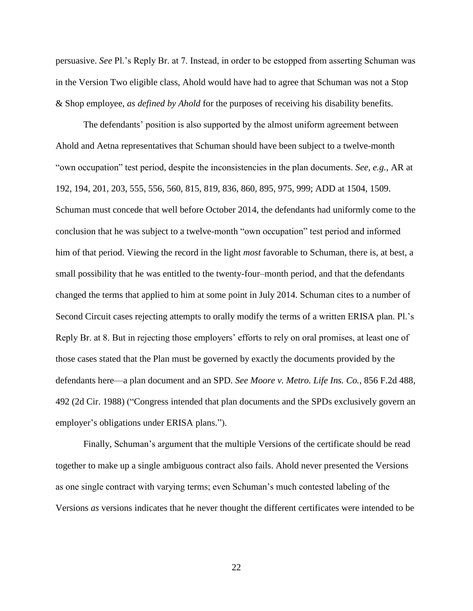persuasive. *See* Pl.'s Reply Br. at 7. Instead, in order to be estopped from asserting Schuman was in the Version Two eligible class, Ahold would have had to agree that Schuman was not a Stop & Shop employee, *as defined by Ahold* for the purposes of receiving his disability benefits.

The defendants' position is also supported by the almost uniform agreement between Ahold and Aetna representatives that Schuman should have been subject to a twelve-month "own occupation" test period, despite the inconsistencies in the plan documents. *See, e.g.*, AR at 192, 194, 201, 203, 555, 556, 560, 815, 819, 836, 860, 895, 975, 999; ADD at 1504, 1509. Schuman must concede that well before October 2014, the defendants had uniformly come to the conclusion that he was subject to a twelve-month "own occupation" test period and informed him of that period. Viewing the record in the light *most* favorable to Schuman, there is, at best, a small possibility that he was entitled to the twenty-four–month period, and that the defendants changed the terms that applied to him at some point in July 2014. Schuman cites to a number of Second Circuit cases rejecting attempts to orally modify the terms of a written ERISA plan. Pl.'s Reply Br. at 8. But in rejecting those employers' efforts to rely on oral promises, at least one of those cases stated that the Plan must be governed by exactly the documents provided by the defendants here—a plan document and an SPD. *See Moore v. Metro. Life Ins. Co.*, 856 F.2d 488, 492 (2d Cir. 1988) ("Congress intended that plan documents and the SPDs exclusively govern an employer's obligations under ERISA plans.").

Finally, Schuman's argument that the multiple Versions of the certificate should be read together to make up a single ambiguous contract also fails. Ahold never presented the Versions as one single contract with varying terms; even Schuman's much contested labeling of the Versions *as* versions indicates that he never thought the different certificates were intended to be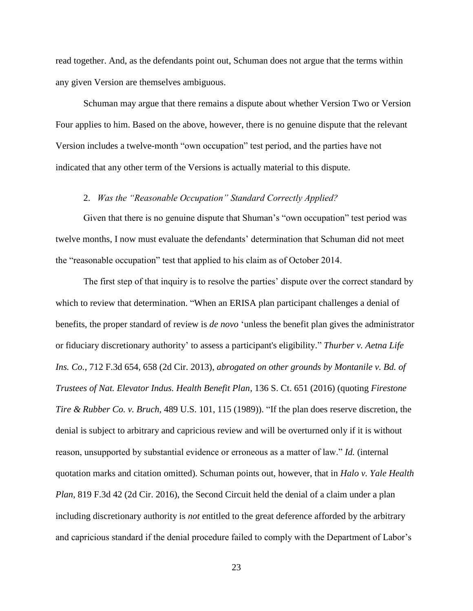read together. And, as the defendants point out, Schuman does not argue that the terms within any given Version are themselves ambiguous.

Schuman may argue that there remains a dispute about whether Version Two or Version Four applies to him. Based on the above, however, there is no genuine dispute that the relevant Version includes a twelve-month "own occupation" test period, and the parties have not indicated that any other term of the Versions is actually material to this dispute.

#### 2. *Was the "Reasonable Occupation" Standard Correctly Applied?*

Given that there is no genuine dispute that Shuman's "own occupation" test period was twelve months, I now must evaluate the defendants' determination that Schuman did not meet the "reasonable occupation" test that applied to his claim as of October 2014.

The first step of that inquiry is to resolve the parties' dispute over the correct standard by which to review that determination. "When an ERISA plan participant challenges a denial of benefits, the proper standard of review is *de novo* 'unless the benefit plan gives the administrator or fiduciary discretionary authority' to assess a participant's eligibility." *Thurber v. Aetna Life Ins. Co.*, 712 F.3d 654, 658 (2d Cir. 2013), *abrogated on other grounds by Montanile v. Bd. of Trustees of Nat. Elevator Indus. Health Benefit Plan*, 136 S. Ct. 651 (2016) (quoting *Firestone Tire & Rubber Co. v. Bruch,* 489 U.S. 101, 115 (1989)). "If the plan does reserve discretion, the denial is subject to arbitrary and capricious review and will be overturned only if it is without reason, unsupported by substantial evidence or erroneous as a matter of law." *Id.* (internal quotation marks and citation omitted). Schuman points out, however, that in *Halo v. Yale Health Plan*, 819 F.3d 42 (2d Cir. 2016), the Second Circuit held the denial of a claim under a plan including discretionary authority is *not* entitled to the great deference afforded by the arbitrary and capricious standard if the denial procedure failed to comply with the Department of Labor's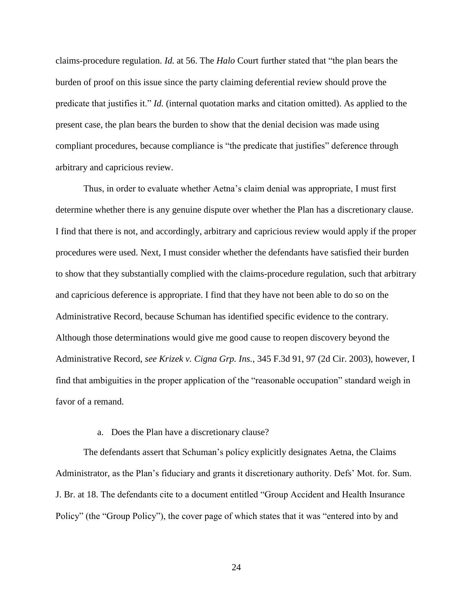claims-procedure regulation. *Id.* at 56. The *Halo* Court further stated that "the plan bears the burden of proof on this issue since the party claiming deferential review should prove the predicate that justifies it." *Id.* (internal quotation marks and citation omitted). As applied to the present case, the plan bears the burden to show that the denial decision was made using compliant procedures, because compliance is "the predicate that justifies" deference through arbitrary and capricious review.

Thus, in order to evaluate whether Aetna's claim denial was appropriate, I must first determine whether there is any genuine dispute over whether the Plan has a discretionary clause. I find that there is not, and accordingly, arbitrary and capricious review would apply if the proper procedures were used. Next, I must consider whether the defendants have satisfied their burden to show that they substantially complied with the claims-procedure regulation, such that arbitrary and capricious deference is appropriate. I find that they have not been able to do so on the Administrative Record, because Schuman has identified specific evidence to the contrary. Although those determinations would give me good cause to reopen discovery beyond the Administrative Record, *see Krizek v. Cigna Grp. Ins.*, 345 F.3d 91, 97 (2d Cir. 2003), however, I find that ambiguities in the proper application of the "reasonable occupation" standard weigh in favor of a remand.

#### a. Does the Plan have a discretionary clause?

The defendants assert that Schuman's policy explicitly designates Aetna, the Claims Administrator, as the Plan's fiduciary and grants it discretionary authority. Defs' Mot. for. Sum. J. Br. at 18. The defendants cite to a document entitled "Group Accident and Health Insurance Policy" (the "Group Policy"), the cover page of which states that it was "entered into by and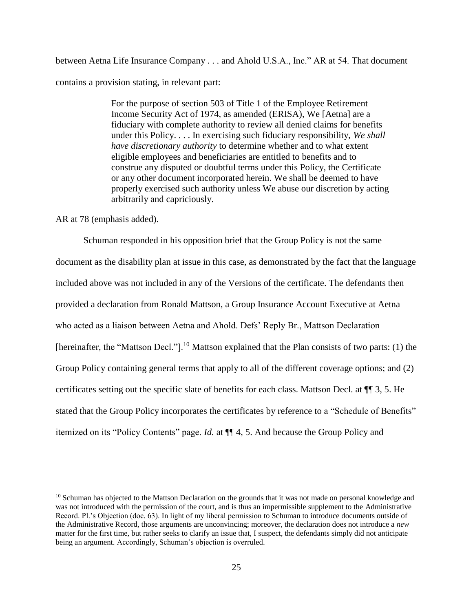between Aetna Life Insurance Company . . . and Ahold U.S.A., Inc." AR at 54. That document contains a provision stating, in relevant part:

> For the purpose of section 503 of Title 1 of the Employee Retirement Income Security Act of 1974, as amended (ERISA), We [Aetna] are a fiduciary with complete authority to review all denied claims for benefits under this Policy. . . . In exercising such fiduciary responsibility, *We shall have discretionary authority* to determine whether and to what extent eligible employees and beneficiaries are entitled to benefits and to construe any disputed or doubtful terms under this Policy, the Certificate or any other document incorporated herein. We shall be deemed to have properly exercised such authority unless We abuse our discretion by acting arbitrarily and capriciously.

AR at 78 (emphasis added).

 $\overline{a}$ 

Schuman responded in his opposition brief that the Group Policy is not the same document as the disability plan at issue in this case, as demonstrated by the fact that the language included above was not included in any of the Versions of the certificate. The defendants then provided a declaration from Ronald Mattson, a Group Insurance Account Executive at Aetna who acted as a liaison between Aetna and Ahold. Defs' Reply Br., Mattson Declaration [hereinafter, the "Mattson Decl."].<sup>10</sup> Mattson explained that the Plan consists of two parts: (1) the Group Policy containing general terms that apply to all of the different coverage options; and (2) certificates setting out the specific slate of benefits for each class. Mattson Decl. at ¶¶ 3, 5. He stated that the Group Policy incorporates the certificates by reference to a "Schedule of Benefits" itemized on its "Policy Contents" page. *Id.* at ¶¶ 4, 5. And because the Group Policy and

<sup>&</sup>lt;sup>10</sup> Schuman has objected to the Mattson Declaration on the grounds that it was not made on personal knowledge and was not introduced with the permission of the court, and is thus an impermissible supplement to the Administrative Record. Pl.'s Objection (doc. 63). In light of my liberal permission to Schuman to introduce documents outside of the Administrative Record, those arguments are unconvincing; moreover, the declaration does not introduce a *new* matter for the first time, but rather seeks to clarify an issue that, I suspect, the defendants simply did not anticipate being an argument. Accordingly, Schuman's objection is overruled.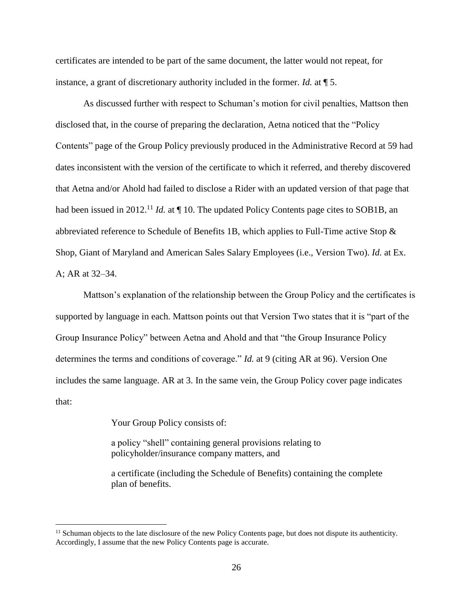certificates are intended to be part of the same document, the latter would not repeat, for instance, a grant of discretionary authority included in the former. *Id.* at ¶ 5.

As discussed further with respect to Schuman's motion for civil penalties, Mattson then disclosed that, in the course of preparing the declaration, Aetna noticed that the "Policy Contents" page of the Group Policy previously produced in the Administrative Record at 59 had dates inconsistent with the version of the certificate to which it referred, and thereby discovered that Aetna and/or Ahold had failed to disclose a Rider with an updated version of that page that had been issued in 2012.<sup>11</sup> *Id.* at  $\P$  10. The updated Policy Contents page cites to SOB1B, an abbreviated reference to Schedule of Benefits 1B, which applies to Full-Time active Stop & Shop, Giant of Maryland and American Sales Salary Employees (i.e., Version Two). *Id.* at Ex. A; AR at 32–34.

Mattson's explanation of the relationship between the Group Policy and the certificates is supported by language in each. Mattson points out that Version Two states that it is "part of the Group Insurance Policy" between Aetna and Ahold and that "the Group Insurance Policy determines the terms and conditions of coverage." *Id.* at 9 (citing AR at 96). Version One includes the same language. AR at 3. In the same vein, the Group Policy cover page indicates that:

Your Group Policy consists of:

 $\overline{a}$ 

a policy "shell" containing general provisions relating to policyholder/insurance company matters, and

a certificate (including the Schedule of Benefits) containing the complete plan of benefits.

 $11$  Schuman objects to the late disclosure of the new Policy Contents page, but does not dispute its authenticity. Accordingly, I assume that the new Policy Contents page is accurate.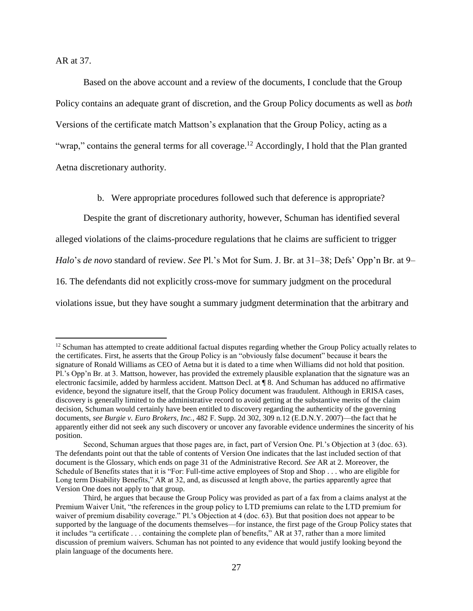AR at 37.

 $\overline{a}$ 

Based on the above account and a review of the documents, I conclude that the Group Policy contains an adequate grant of discretion, and the Group Policy documents as well as *both* Versions of the certificate match Mattson's explanation that the Group Policy, acting as a "wrap," contains the general terms for all coverage.<sup>12</sup> Accordingly, I hold that the Plan granted Aetna discretionary authority.

b. Were appropriate procedures followed such that deference is appropriate?

Despite the grant of discretionary authority, however, Schuman has identified several alleged violations of the claims-procedure regulations that he claims are sufficient to trigger *Halo*'s *de novo* standard of review. *See* Pl.'s Mot for Sum. J. Br. at 31–38; Defs' Opp'n Br. at 9– 16. The defendants did not explicitly cross-move for summary judgment on the procedural violations issue, but they have sought a summary judgment determination that the arbitrary and

<sup>&</sup>lt;sup>12</sup> Schuman has attempted to create additional factual disputes regarding whether the Group Policy actually relates to the certificates. First, he asserts that the Group Policy is an "obviously false document" because it bears the signature of Ronald Williams as CEO of Aetna but it is dated to a time when Williams did not hold that position. Pl.'s Opp'n Br. at 3. Mattson, however, has provided the extremely plausible explanation that the signature was an electronic facsimile, added by harmless accident. Mattson Decl. at ¶ 8. And Schuman has adduced no affirmative evidence, beyond the signature itself, that the Group Policy document was fraudulent. Although in ERISA cases, discovery is generally limited to the administrative record to avoid getting at the substantive merits of the claim decision, Schuman would certainly have been entitled to discovery regarding the authenticity of the governing documents, *see Burgie v. Euro Brokers, Inc.*, 482 F. Supp. 2d 302, 309 n.12 (E.D.N.Y. 2007)—the fact that he apparently either did not seek any such discovery or uncover any favorable evidence undermines the sincerity of his position.

Second, Schuman argues that those pages are, in fact, part of Version One. Pl.'s Objection at 3 (doc. 63). The defendants point out that the table of contents of Version One indicates that the last included section of that document is the Glossary, which ends on page 31 of the Administrative Record. *See* AR at 2. Moreover, the Schedule of Benefits states that it is "For: Full-time active employees of Stop and Shop . . . who are eligible for Long term Disability Benefits," AR at 32, and, as discussed at length above, the parties apparently agree that Version One does not apply to that group.

Third, he argues that because the Group Policy was provided as part of a fax from a claims analyst at the Premium Waiver Unit, "the references in the group policy to LTD premiums can relate to the LTD premium for waiver of premium disability coverage." Pl.'s Objection at 4 (doc. 63). But that position does not appear to be supported by the language of the documents themselves—for instance, the first page of the Group Policy states that it includes "a certificate . . . containing the complete plan of benefits," AR at 37, rather than a more limited discussion of premium waivers. Schuman has not pointed to any evidence that would justify looking beyond the plain language of the documents here.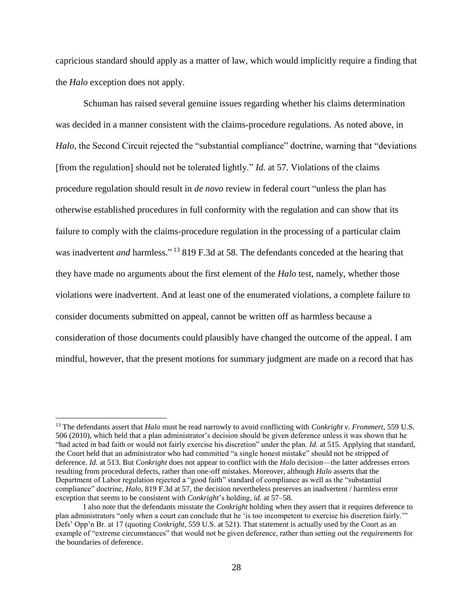capricious standard should apply as a matter of law, which would implicitly require a finding that the *Halo* exception does not apply.

Schuman has raised several genuine issues regarding whether his claims determination was decided in a manner consistent with the claims-procedure regulations. As noted above, in *Halo*, the Second Circuit rejected the "substantial compliance" doctrine, warning that "deviations" [from the regulation] should not be tolerated lightly." *Id.* at 57. Violations of the claims procedure regulation should result in *de novo* review in federal court "unless the plan has otherwise established procedures in full conformity with the regulation and can show that its failure to comply with the claims-procedure regulation in the processing of a particular claim was inadvertent *and* harmless." <sup>13</sup> 819 F.3d at 58. The defendants conceded at the hearing that they have made no arguments about the first element of the *Halo* test, namely, whether those violations were inadvertent. And at least one of the enumerated violations, a complete failure to consider documents submitted on appeal, cannot be written off as harmless because a consideration of those documents could plausibly have changed the outcome of the appeal. I am mindful, however, that the present motions for summary judgment are made on a record that has

 $\overline{a}$ 

<sup>13</sup> The defendants assert that *Halo* must be read narrowly to avoid conflicting with *Conkright v. Frommert*, 559 U.S. 506 (2010), which held that a plan administrator's decision should be given deference unless it was shown that he "had acted in bad faith or would not fairly exercise his discretion" under the plan. *Id.* at 515. Applying that standard, the Court held that an administrator who had committed "a single honest mistake" should not be stripped of deference. *Id.* at 513. But *Conkright* does not appear to conflict with the *Halo* decision—the latter addresses errors resulting from procedural defects, rather than one-off mistakes. Moreover, although *Halo* asserts that the Department of Labor regulation rejected a "good faith" standard of compliance as well as the "substantial compliance" doctrine, *Halo*, 819 F.3d at 57, the decision nevertheless preserves an inadvertent / harmless error exception that seems to be consistent with *Conkright*'s holding, *id.* at 57–58.

I also note that the defendants misstate the *Conkright* holding when they assert that it requires deference to plan administrators "only when a court can conclude that he 'is too incompetent to exercise his discretion fairly.'" Defs' Opp'n Br. at 17 (quoting *Conkright*, 559 U.S. at 521). That statement is actually used by the Court as an example of "extreme circumstances" that would not be given deference, rather than setting out the *requirements* for the boundaries of deference.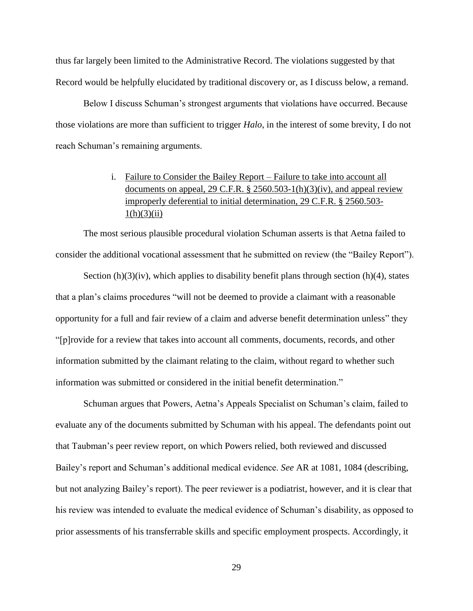thus far largely been limited to the Administrative Record. The violations suggested by that Record would be helpfully elucidated by traditional discovery or, as I discuss below, a remand.

Below I discuss Schuman's strongest arguments that violations have occurred. Because those violations are more than sufficient to trigger *Halo*, in the interest of some brevity, I do not reach Schuman's remaining arguments.

# i. Failure to Consider the Bailey Report – Failure to take into account all documents on appeal, 29 C.F.R.  $\S$  2560.503-1(h)(3)(iv), and appeal review improperly deferential to initial determination, 29 C.F.R. § 2560.503-  $1(h)(3)(ii)$

The most serious plausible procedural violation Schuman asserts is that Aetna failed to consider the additional vocational assessment that he submitted on review (the "Bailey Report").

Section  $(h)(3)(iv)$ , which applies to disability benefit plans through section  $(h)(4)$ , states that a plan's claims procedures "will not be deemed to provide a claimant with a reasonable opportunity for a full and fair review of a claim and adverse benefit determination unless" they "[p]rovide for a review that takes into account all comments, documents, records, and other information submitted by the claimant relating to the claim, without regard to whether such information was submitted or considered in the initial benefit determination."

Schuman argues that Powers, Aetna's Appeals Specialist on Schuman's claim, failed to evaluate any of the documents submitted by Schuman with his appeal. The defendants point out that Taubman's peer review report, on which Powers relied, both reviewed and discussed Bailey's report and Schuman's additional medical evidence. *See* AR at 1081, 1084 (describing, but not analyzing Bailey's report). The peer reviewer is a podiatrist, however, and it is clear that his review was intended to evaluate the medical evidence of Schuman's disability, as opposed to prior assessments of his transferrable skills and specific employment prospects. Accordingly, it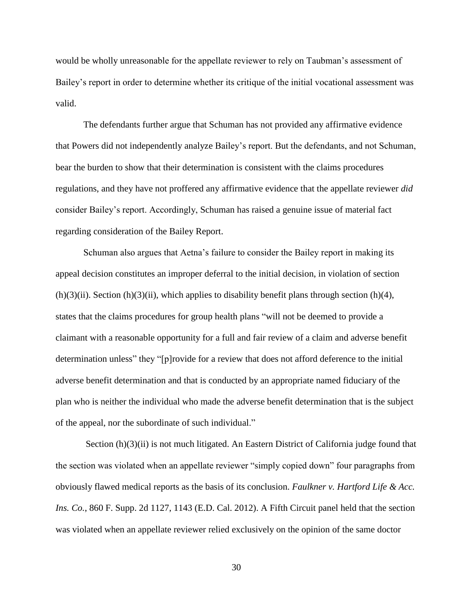would be wholly unreasonable for the appellate reviewer to rely on Taubman's assessment of Bailey's report in order to determine whether its critique of the initial vocational assessment was valid.

The defendants further argue that Schuman has not provided any affirmative evidence that Powers did not independently analyze Bailey's report. But the defendants, and not Schuman, bear the burden to show that their determination is consistent with the claims procedures regulations, and they have not proffered any affirmative evidence that the appellate reviewer *did* consider Bailey's report. Accordingly, Schuman has raised a genuine issue of material fact regarding consideration of the Bailey Report.

Schuman also argues that Aetna's failure to consider the Bailey report in making its appeal decision constitutes an improper deferral to the initial decision, in violation of section  $(h)(3)(ii)$ . Section  $(h)(3)(ii)$ , which applies to disability benefit plans through section  $(h)(4)$ , states that the claims procedures for group health plans "will not be deemed to provide a claimant with a reasonable opportunity for a full and fair review of a claim and adverse benefit determination unless" they "[p]rovide for a review that does not afford deference to the initial adverse benefit determination and that is conducted by an appropriate named fiduciary of the plan who is neither the individual who made the adverse benefit determination that is the subject of the appeal, nor the subordinate of such individual."

Section (h)(3)(ii) is not much litigated. An Eastern District of California judge found that the section was violated when an appellate reviewer "simply copied down" four paragraphs from obviously flawed medical reports as the basis of its conclusion. *Faulkner v. Hartford Life & Acc. Ins. Co.*, 860 F. Supp. 2d 1127, 1143 (E.D. Cal. 2012). A Fifth Circuit panel held that the section was violated when an appellate reviewer relied exclusively on the opinion of the same doctor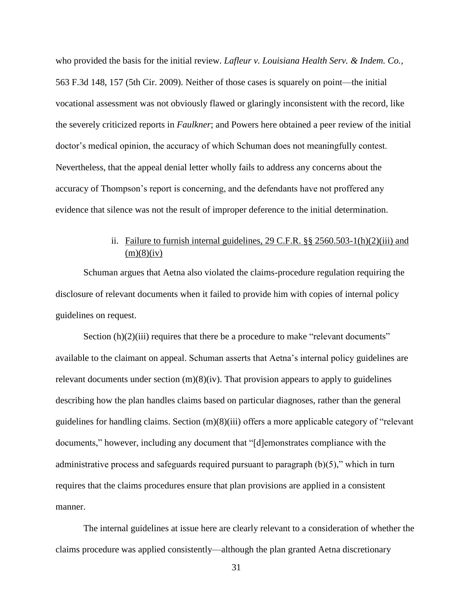who provided the basis for the initial review. *Lafleur v. Louisiana Health Serv. & Indem. Co.*, 563 F.3d 148, 157 (5th Cir. 2009). Neither of those cases is squarely on point—the initial vocational assessment was not obviously flawed or glaringly inconsistent with the record, like the severely criticized reports in *Faulkner*; and Powers here obtained a peer review of the initial doctor's medical opinion, the accuracy of which Schuman does not meaningfully contest. Nevertheless, that the appeal denial letter wholly fails to address any concerns about the accuracy of Thompson's report is concerning, and the defendants have not proffered any evidence that silence was not the result of improper deference to the initial determination.

# ii. Failure to furnish internal guidelines, 29 C.F.R. §§ 2560.503-1(h)(2)(iii) and  $(m)(8)(iv)$

Schuman argues that Aetna also violated the claims-procedure regulation requiring the disclosure of relevant documents when it failed to provide him with copies of internal policy guidelines on request.

Section (h)(2)(iii) requires that there be a procedure to make "relevant documents" available to the claimant on appeal. Schuman asserts that Aetna's internal policy guidelines are relevant documents under section  $(m)(8)(iv)$ . That provision appears to apply to guidelines describing how the plan handles claims based on particular diagnoses, rather than the general guidelines for handling claims. Section (m)(8)(iii) offers a more applicable category of "relevant documents," however, including any document that "[d]emonstrates compliance with the administrative process and safeguards required pursuant to paragraph  $(b)(5)$ ," which in turn requires that the claims procedures ensure that plan provisions are applied in a consistent manner.

The internal guidelines at issue here are clearly relevant to a consideration of whether the claims procedure was applied consistently—although the plan granted Aetna discretionary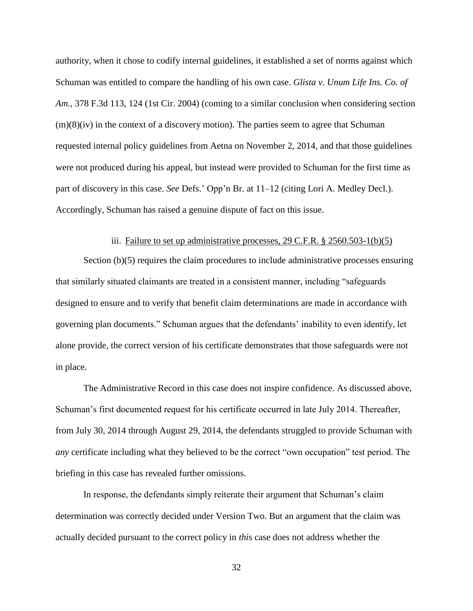authority, when it chose to codify internal guidelines, it established a set of norms against which Schuman was entitled to compare the handling of his own case. *Glista v. Unum Life Ins. Co. of Am.*, 378 F.3d 113, 124 (1st Cir. 2004) (coming to a similar conclusion when considering section  $(m)(8)(iv)$  in the context of a discovery motion). The parties seem to agree that Schuman requested internal policy guidelines from Aetna on November 2, 2014, and that those guidelines were not produced during his appeal, but instead were provided to Schuman for the first time as part of discovery in this case. *See* Defs.' Opp'n Br. at 11–12 (citing Lori A. Medley Decl.). Accordingly, Schuman has raised a genuine dispute of fact on this issue.

#### iii. Failure to set up administrative processes,  $29$  C.F.R.  $\S 2560.503 - 1(b)(5)$

Section (b)(5) requires the claim procedures to include administrative processes ensuring that similarly situated claimants are treated in a consistent manner, including "safeguards designed to ensure and to verify that benefit claim determinations are made in accordance with governing plan documents." Schuman argues that the defendants' inability to even identify, let alone provide, the correct version of his certificate demonstrates that those safeguards were not in place.

The Administrative Record in this case does not inspire confidence. As discussed above, Schuman's first documented request for his certificate occurred in late July 2014. Thereafter, from July 30, 2014 through August 29, 2014, the defendants struggled to provide Schuman with *any* certificate including what they believed to be the correct "own occupation" test period. The briefing in this case has revealed further omissions.

In response, the defendants simply reiterate their argument that Schuman's claim determination was correctly decided under Version Two. But an argument that the claim was actually decided pursuant to the correct policy in *this* case does not address whether the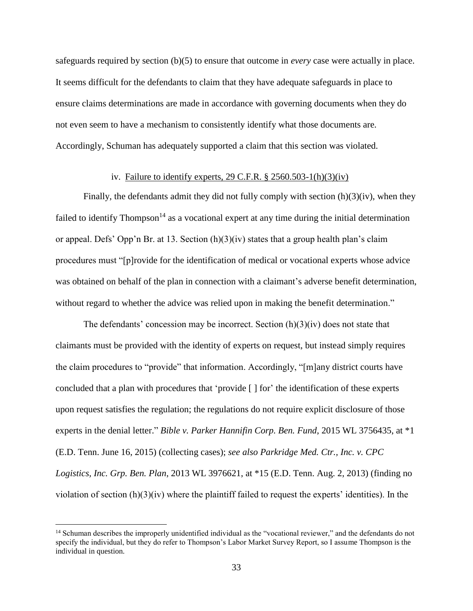safeguards required by section (b)(5) to ensure that outcome in *every* case were actually in place. It seems difficult for the defendants to claim that they have adequate safeguards in place to ensure claims determinations are made in accordance with governing documents when they do not even seem to have a mechanism to consistently identify what those documents are. Accordingly, Schuman has adequately supported a claim that this section was violated.

## iv. Failure to identify experts, 29 C.F.R. § 2560.503-1(h)(3)(iv)

Finally, the defendants admit they did not fully comply with section  $(h)(3)(iv)$ , when they failed to identify Thompson<sup>14</sup> as a vocational expert at any time during the initial determination or appeal. Defs' Opp'n Br. at 13. Section (h)(3)(iv) states that a group health plan's claim procedures must "[p]rovide for the identification of medical or vocational experts whose advice was obtained on behalf of the plan in connection with a claimant's adverse benefit determination, without regard to whether the advice was relied upon in making the benefit determination."

The defendants' concession may be incorrect. Section  $(h)(3)(iv)$  does not state that claimants must be provided with the identity of experts on request, but instead simply requires the claim procedures to "provide" that information. Accordingly, "[m]any district courts have concluded that a plan with procedures that 'provide [ ] for' the identification of these experts upon request satisfies the regulation; the regulations do not require explicit disclosure of those experts in the denial letter." *Bible v. Parker Hannifin Corp. Ben. Fund*, 2015 WL 3756435, at \*1 (E.D. Tenn. June 16, 2015) (collecting cases); *see also Parkridge Med. Ctr., Inc. v. CPC Logistics, Inc. Grp. Ben. Plan*, 2013 WL 3976621, at \*15 (E.D. Tenn. Aug. 2, 2013) (finding no violation of section  $(h)(3)(iv)$  where the plaintiff failed to request the experts' identities). In the

 $\overline{a}$ 

<sup>14</sup> Schuman describes the improperly unidentified individual as the "vocational reviewer," and the defendants do not specify the individual, but they do refer to Thompson's Labor Market Survey Report, so I assume Thompson is the individual in question.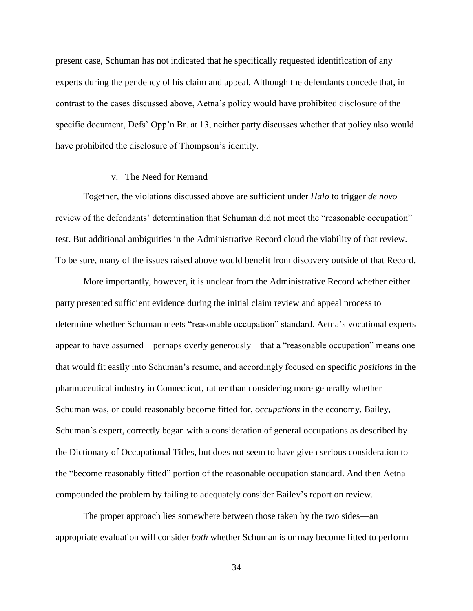present case, Schuman has not indicated that he specifically requested identification of any experts during the pendency of his claim and appeal. Although the defendants concede that, in contrast to the cases discussed above, Aetna's policy would have prohibited disclosure of the specific document, Defs' Opp'n Br. at 13, neither party discusses whether that policy also would have prohibited the disclosure of Thompson's identity.

#### v. The Need for Remand

Together, the violations discussed above are sufficient under *Halo* to trigger *de novo*  review of the defendants' determination that Schuman did not meet the "reasonable occupation" test. But additional ambiguities in the Administrative Record cloud the viability of that review. To be sure, many of the issues raised above would benefit from discovery outside of that Record.

More importantly, however, it is unclear from the Administrative Record whether either party presented sufficient evidence during the initial claim review and appeal process to determine whether Schuman meets "reasonable occupation" standard. Aetna's vocational experts appear to have assumed—perhaps overly generously—that a "reasonable occupation" means one that would fit easily into Schuman's resume, and accordingly focused on specific *positions* in the pharmaceutical industry in Connecticut, rather than considering more generally whether Schuman was, or could reasonably become fitted for, *occupations* in the economy. Bailey, Schuman's expert, correctly began with a consideration of general occupations as described by the Dictionary of Occupational Titles, but does not seem to have given serious consideration to the "become reasonably fitted" portion of the reasonable occupation standard. And then Aetna compounded the problem by failing to adequately consider Bailey's report on review.

The proper approach lies somewhere between those taken by the two sides—an appropriate evaluation will consider *both* whether Schuman is or may become fitted to perform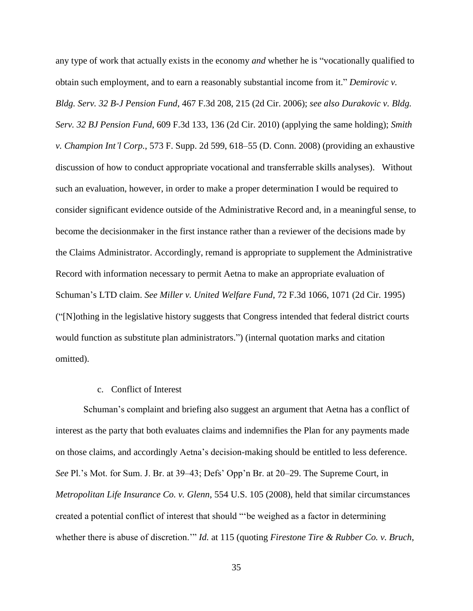any type of work that actually exists in the economy *and* whether he is "vocationally qualified to obtain such employment, and to earn a reasonably substantial income from it." *Demirovic v. Bldg. Serv. 32 B-J Pension Fund*, 467 F.3d 208, 215 (2d Cir. 2006); *see also Durakovic v. Bldg. Serv. 32 BJ Pension Fund*, 609 F.3d 133, 136 (2d Cir. 2010) (applying the same holding); *Smith v. Champion Int'l Corp.*, 573 F. Supp. 2d 599, 618–55 (D. Conn. 2008) (providing an exhaustive discussion of how to conduct appropriate vocational and transferrable skills analyses). Without such an evaluation, however, in order to make a proper determination I would be required to consider significant evidence outside of the Administrative Record and, in a meaningful sense, to become the decisionmaker in the first instance rather than a reviewer of the decisions made by the Claims Administrator. Accordingly, remand is appropriate to supplement the Administrative Record with information necessary to permit Aetna to make an appropriate evaluation of Schuman's LTD claim. *See Miller v. United Welfare Fund*, 72 F.3d 1066, 1071 (2d Cir. 1995) ("[N]othing in the legislative history suggests that Congress intended that federal district courts would function as substitute plan administrators.") (internal quotation marks and citation omitted).

#### c. Conflict of Interest

Schuman's complaint and briefing also suggest an argument that Aetna has a conflict of interest as the party that both evaluates claims and indemnifies the Plan for any payments made on those claims, and accordingly Aetna's decision-making should be entitled to less deference. *See* Pl.'s Mot. for Sum. J. Br. at 39–43; Defs' Opp'n Br. at 20–29. The Supreme Court, in *Metropolitan Life Insurance Co. v. Glenn*, 554 U.S. 105 (2008), held that similar circumstances created a potential conflict of interest that should "'be weighed as a factor in determining whether there is abuse of discretion.'" *Id.* at 115 (quoting *Firestone Tire & Rubber Co. v. Bruch*,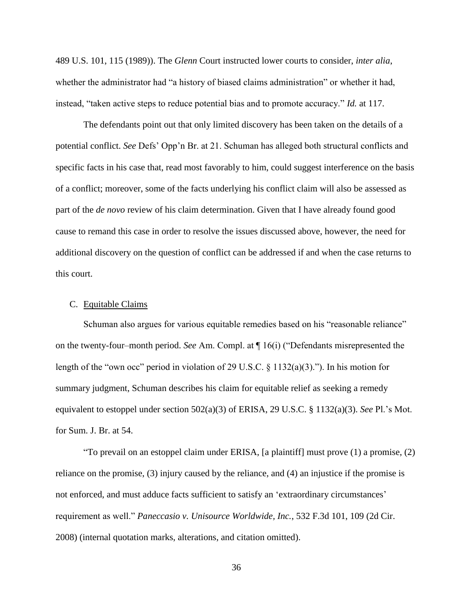489 U.S. 101, 115 (1989)). The *Glenn* Court instructed lower courts to consider, *inter alia*, whether the administrator had "a history of biased claims administration" or whether it had, instead, "taken active steps to reduce potential bias and to promote accuracy." *Id.* at 117.

The defendants point out that only limited discovery has been taken on the details of a potential conflict. *See* Defs' Opp'n Br. at 21. Schuman has alleged both structural conflicts and specific facts in his case that, read most favorably to him, could suggest interference on the basis of a conflict; moreover, some of the facts underlying his conflict claim will also be assessed as part of the *de novo* review of his claim determination. Given that I have already found good cause to remand this case in order to resolve the issues discussed above, however, the need for additional discovery on the question of conflict can be addressed if and when the case returns to this court.

#### C. Equitable Claims

Schuman also argues for various equitable remedies based on his "reasonable reliance" on the twenty-four–month period. *See* Am. Compl. at ¶ 16(i) ("Defendants misrepresented the length of the "own occ" period in violation of 29 U.S.C. § 1132(a)(3)."). In his motion for summary judgment, Schuman describes his claim for equitable relief as seeking a remedy equivalent to estoppel under section 502(a)(3) of ERISA, 29 U.S.C. § 1132(a)(3). *See* Pl.'s Mot. for Sum. J. Br. at 54.

"To prevail on an estoppel claim under ERISA, [a plaintiff] must prove (1) a promise, (2) reliance on the promise, (3) injury caused by the reliance, and (4) an injustice if the promise is not enforced, and must adduce facts sufficient to satisfy an 'extraordinary circumstances' requirement as well." *Paneccasio v. Unisource Worldwide, Inc.*, 532 F.3d 101, 109 (2d Cir. 2008) (internal quotation marks, alterations, and citation omitted).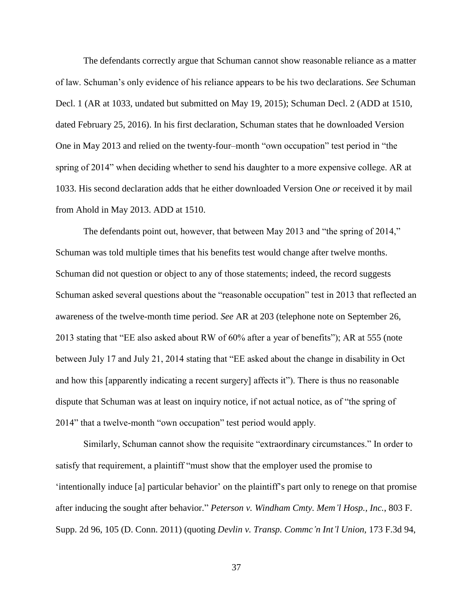The defendants correctly argue that Schuman cannot show reasonable reliance as a matter of law. Schuman's only evidence of his reliance appears to be his two declarations. *See* Schuman Decl. 1 (AR at 1033, undated but submitted on May 19, 2015); Schuman Decl. 2 (ADD at 1510, dated February 25, 2016). In his first declaration, Schuman states that he downloaded Version One in May 2013 and relied on the twenty-four–month "own occupation" test period in "the spring of 2014" when deciding whether to send his daughter to a more expensive college. AR at 1033. His second declaration adds that he either downloaded Version One *or* received it by mail from Ahold in May 2013. ADD at 1510.

The defendants point out, however, that between May 2013 and "the spring of 2014," Schuman was told multiple times that his benefits test would change after twelve months. Schuman did not question or object to any of those statements; indeed, the record suggests Schuman asked several questions about the "reasonable occupation" test in 2013 that reflected an awareness of the twelve-month time period. *See* AR at 203 (telephone note on September 26, 2013 stating that "EE also asked about RW of 60% after a year of benefits"); AR at 555 (note between July 17 and July 21, 2014 stating that "EE asked about the change in disability in Oct and how this [apparently indicating a recent surgery] affects it"). There is thus no reasonable dispute that Schuman was at least on inquiry notice, if not actual notice, as of "the spring of 2014" that a twelve-month "own occupation" test period would apply.

Similarly, Schuman cannot show the requisite "extraordinary circumstances." In order to satisfy that requirement, a plaintiff "must show that the employer used the promise to 'intentionally induce [a] particular behavior' on the plaintiff's part only to renege on that promise after inducing the sought after behavior." *Peterson v. Windham Cmty. Mem'l Hosp., Inc.*, 803 F. Supp. 2d 96, 105 (D. Conn. 2011) (quoting *Devlin v. Transp. Commc'n Int'l Union,* 173 F.3d 94,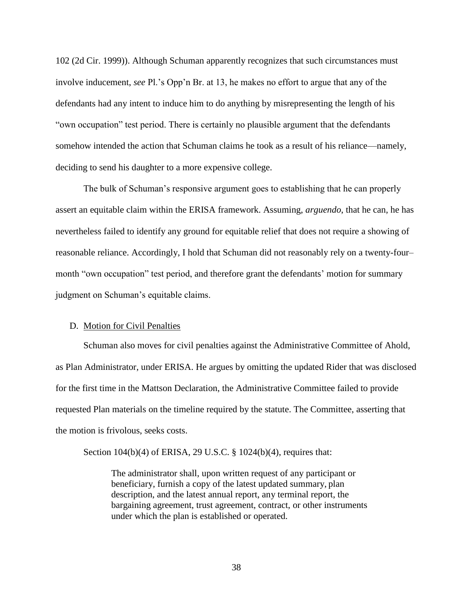102 (2d Cir. 1999)). Although Schuman apparently recognizes that such circumstances must involve inducement, *see* Pl.'s Opp'n Br. at 13, he makes no effort to argue that any of the defendants had any intent to induce him to do anything by misrepresenting the length of his "own occupation" test period. There is certainly no plausible argument that the defendants somehow intended the action that Schuman claims he took as a result of his reliance—namely, deciding to send his daughter to a more expensive college.

The bulk of Schuman's responsive argument goes to establishing that he can properly assert an equitable claim within the ERISA framework. Assuming, *arguendo*, that he can, he has nevertheless failed to identify any ground for equitable relief that does not require a showing of reasonable reliance. Accordingly, I hold that Schuman did not reasonably rely on a twenty-four– month "own occupation" test period, and therefore grant the defendants' motion for summary judgment on Schuman's equitable claims.

#### D. Motion for Civil Penalties

Schuman also moves for civil penalties against the Administrative Committee of Ahold, as Plan Administrator, under ERISA. He argues by omitting the updated Rider that was disclosed for the first time in the Mattson Declaration, the Administrative Committee failed to provide requested Plan materials on the timeline required by the statute. The Committee, asserting that the motion is frivolous, seeks costs.

Section 104(b)(4) of ERISA, 29 U.S.C. § 1024(b)(4), requires that:

The administrator shall, upon written request of any participant or beneficiary, furnish a copy of the latest updated summary, plan description, and the latest annual report, any terminal report, the bargaining agreement, trust agreement, contract, or other instruments under which the plan is established or operated.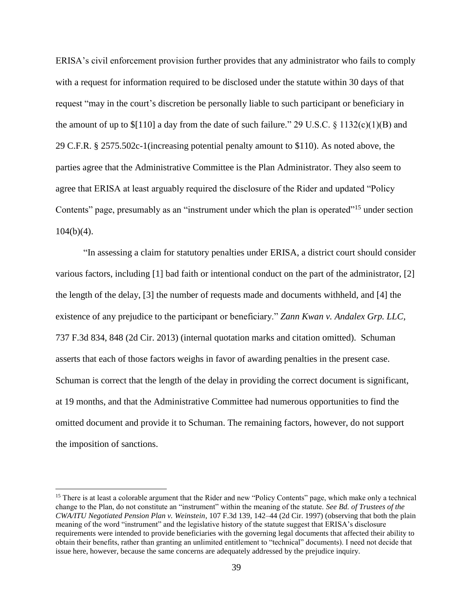ERISA's civil enforcement provision further provides that any administrator who fails to comply with a request for information required to be disclosed under the statute within 30 days of that request "may in the court's discretion be personally liable to such participant or beneficiary in the amount of up to  $\{110\}$  a day from the date of such failure." 29 U.S.C.  $\{1132(c)(1)(B)$  and 29 C.F.R. § 2575.502c-1(increasing potential penalty amount to \$110). As noted above, the parties agree that the Administrative Committee is the Plan Administrator. They also seem to agree that ERISA at least arguably required the disclosure of the Rider and updated "Policy Contents" page, presumably as an "instrument under which the plan is operated"<sup>15</sup> under section  $104(b)(4)$ .

"In assessing a claim for statutory penalties under ERISA, a district court should consider various factors, including [1] bad faith or intentional conduct on the part of the administrator, [2] the length of the delay, [3] the number of requests made and documents withheld, and [4] the existence of any prejudice to the participant or beneficiary." *Zann Kwan v. Andalex Grp. LLC*, 737 F.3d 834, 848 (2d Cir. 2013) (internal quotation marks and citation omitted). Schuman asserts that each of those factors weighs in favor of awarding penalties in the present case. Schuman is correct that the length of the delay in providing the correct document is significant, at 19 months, and that the Administrative Committee had numerous opportunities to find the omitted document and provide it to Schuman. The remaining factors, however, do not support the imposition of sanctions.

 $\overline{a}$ 

<sup>&</sup>lt;sup>15</sup> There is at least a colorable argument that the Rider and new "Policy Contents" page, which make only a technical change to the Plan, do not constitute an "instrument" within the meaning of the statute. *See Bd. of Trustees of the CWA/ITU Negotiated Pension Plan v. Weinstein*, 107 F.3d 139, 142–44 (2d Cir. 1997) (observing that both the plain meaning of the word "instrument" and the legislative history of the statute suggest that ERISA's disclosure requirements were intended to provide beneficiaries with the governing legal documents that affected their ability to obtain their benefits, rather than granting an unlimited entitlement to "technical" documents). I need not decide that issue here, however, because the same concerns are adequately addressed by the prejudice inquiry.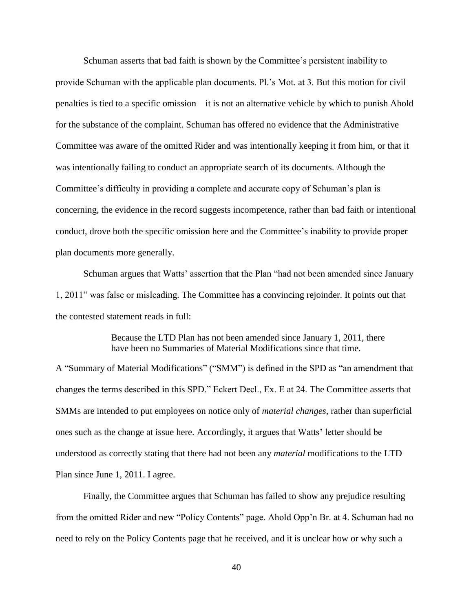Schuman asserts that bad faith is shown by the Committee's persistent inability to provide Schuman with the applicable plan documents. Pl.'s Mot. at 3. But this motion for civil penalties is tied to a specific omission—it is not an alternative vehicle by which to punish Ahold for the substance of the complaint. Schuman has offered no evidence that the Administrative Committee was aware of the omitted Rider and was intentionally keeping it from him, or that it was intentionally failing to conduct an appropriate search of its documents. Although the Committee's difficulty in providing a complete and accurate copy of Schuman's plan is concerning, the evidence in the record suggests incompetence, rather than bad faith or intentional conduct, drove both the specific omission here and the Committee's inability to provide proper plan documents more generally.

Schuman argues that Watts' assertion that the Plan "had not been amended since January 1, 2011" was false or misleading. The Committee has a convincing rejoinder. It points out that the contested statement reads in full:

> Because the LTD Plan has not been amended since January 1, 2011, there have been no Summaries of Material Modifications since that time.

A "Summary of Material Modifications" ("SMM") is defined in the SPD as "an amendment that changes the terms described in this SPD." Eckert Decl., Ex. E at 24. The Committee asserts that SMMs are intended to put employees on notice only of *material changes*, rather than superficial ones such as the change at issue here. Accordingly, it argues that Watts' letter should be understood as correctly stating that there had not been any *material* modifications to the LTD Plan since June 1, 2011. I agree.

Finally, the Committee argues that Schuman has failed to show any prejudice resulting from the omitted Rider and new "Policy Contents" page. Ahold Opp'n Br. at 4. Schuman had no need to rely on the Policy Contents page that he received, and it is unclear how or why such a